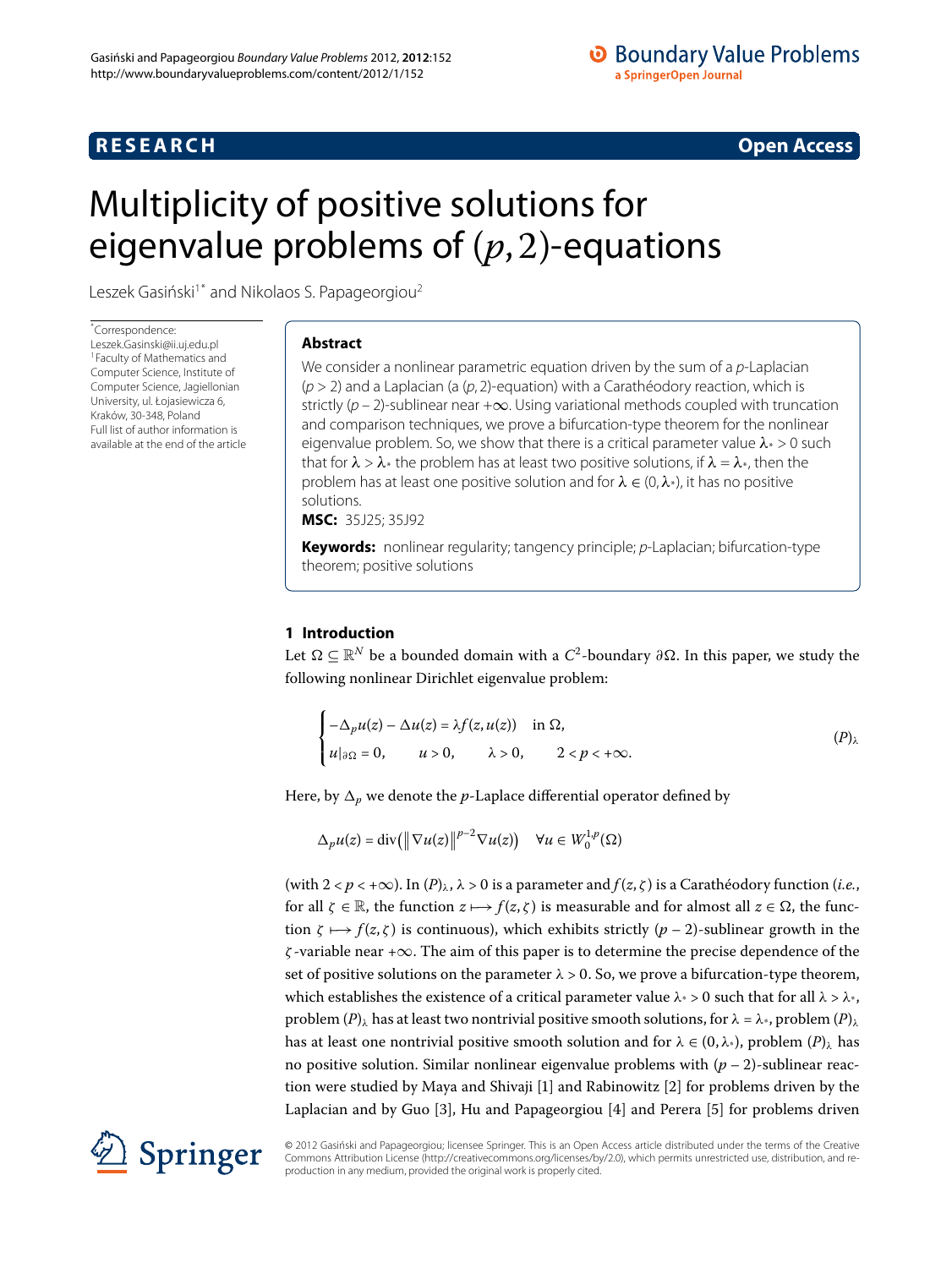# **R E S E A R C H Open Access**

# <span id="page-0-0"></span>Multiplicity of positive solutions for eigenvalue problems of  $(p, 2)$ -equations

Leszek Gasiński<sup>[1](#page-15-0)[\\*](#page-0-0)</sup> and Nikolaos S. Papageorgiou<sup>2</sup>

\* Correspondence: [Leszek.Gasinski@ii.uj.edu.pl](mailto:Leszek.Gasinski@ii.uj.edu.pl) 1Faculty of Mathematics and Computer Science, Institute of Computer Science, Jagiellonian University, ul. Łojasiewicza 6, Kraków, 30-348, Poland Full list of author information is available at the end of the article

# **Abstract**

We consider a nonlinear parametric equation driven by the sum of a  $p$ -Laplacian  $(p > 2)$  and a Laplacian (a  $(p, 2)$ -equation) with a Carathéodory reaction, which is strictly ( $p - 2$ )-sublinear near + $\infty$ . Using variational methods coupled with truncation and comparison techniques, we prove a bifurcation-type theorem for the nonlinear eigenvalue problem. So, we show that there is a critical parameter value *λ*\* > 0 such that for  $\lambda > \lambda^*$  the problem has at least two positive solutions, if  $\lambda = \lambda^*$ , then the problem has at least one positive solution and for *λ* ∈ (0,*λ*\*), it has no positive solutions.

**MSC:** 35J25; 35J92

**Keywords:** nonlinear regularity; tangency principle; p-Laplacian; bifurcation-type theorem; positive solutions

# **1 Introduction**

Let  $Ω ⊆ ℝ<sup>N</sup>$  be a bounded domain with a  $C<sup>2</sup>$ -boundary  $∂Ω$ . In this paper, we study the following nonlinear Dirichlet eigenvalue problem:

<span id="page-0-1"></span>
$$
\begin{cases}\n-\Delta_p u(z) - \Delta u(z) = \lambda f(z, u(z)) & \text{in } \Omega, \\
u|_{\partial \Omega} = 0, \qquad u > 0, \qquad \lambda > 0, \qquad 2 < p < +\infty.\n\end{cases}
$$
\n
$$
(P)_\lambda
$$

Here, by  $\Delta_p$  we denote the *p*-Laplace differential operator defined by

 $\Delta_p u(z) = \text{div}\left(\left\|\nabla u(z)\right\|^{p-2} \nabla u(z)\right) \quad \forall u \in W_0^{1,p}(\Omega)$ 

(with  $2 < p < +\infty$ ). In  $(P)_{\lambda}$  $(P)_{\lambda}$  $(P)_{\lambda}$ ,  $\lambda > 0$  is a parameter and  $f(z, \zeta)$  is a Carathéodory function (*i.e.*, for all  $\zeta \in \mathbb{R}$ , the function  $z \mapsto f(z, \zeta)$  is measurable and for almost all  $z \in \Omega$ , the function  $\zeta \mapsto f(z,\zeta)$  is continuous), which exhibits strictly  $(p-2)$ -sublinear growth in the *ζ* -variable near +∞. The aim of this paper is to determine the precise dependence of the set of positive solutions on the parameter  $\lambda > 0$ . So, we prove a bifurcation-type theorem, which establishes the existence of a critical parameter value  $\lambda$ <sup>\*</sup> > 0 such that for all  $\lambda$  >  $\lambda$ <sup>\*</sup>, problem  $(P)_{\lambda}$  $(P)_{\lambda}$  $(P)_{\lambda}$  has at least two nontrivial positive smooth solutions, for  $\lambda = \lambda^*$ , problem  $(P)_{\lambda}$ has at least one nontrivial positive smooth solution and for  $\lambda \in (0, \lambda^*)$ , problem  $(P)_{\lambda}$  $(P)_{\lambda}$  $(P)_{\lambda}$  has no positive solution. Similar nonlinear eigenvalue problems with  $(p-2)$ -sublinear reac-tion were studied by Maya and Shivaji [\[](#page-15-2)1[\]](#page-15-3) and Rabinowitz [2] for problems driven by the Laplacian and by Guo [\[](#page-16-1)3[\]](#page-16-0), Hu and Papageorgiou [4] and Perera [5] for problems driven



© 2012 Gasinski and Papageorgiou; licensee Springer. This is an Open Access article distributed under the terms of the Creative ´ Commons Attribution License (<http://creativecommons.org/licenses/by/2.0>), which permits unrestricted use, distribution, and reproduction in any medium, provided the original work is properly cited.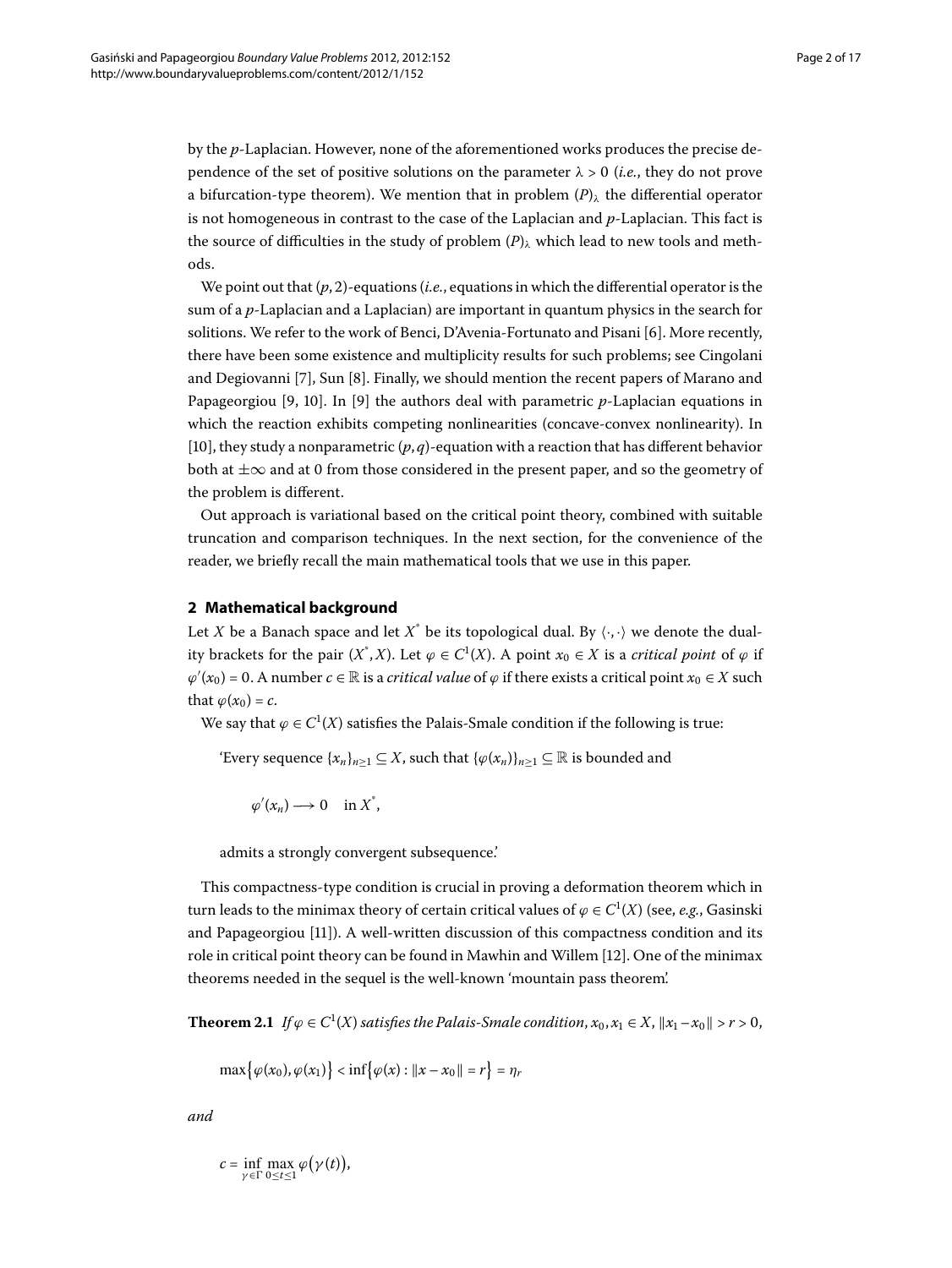by the *p*-Laplacian. However, none of the aforementioned works produces the precise dependence of the set of positive solutions on the parameter  $\lambda > 0$  *(i.e.,* they do not prove a bifurcation-type theorem). We mention that in problem  $(P)$  $(P)$  $(P)$ <sub>λ</sub> the differential operator is not homogeneous in contrast to the case of the Laplacian and *p*-Laplacian. This fact is the source of difficulties in the study of problem (*[P](#page-0-1)*)*<sup>λ</sup>* which lead to new tools and methods.

We point out that  $(p, 2)$ -equations (*i.e.*, equations in which the differential operator is the sum of a *p*-Laplacian and a Laplacian) are important in quantum physics in the search for solitions. We refer to the work of Benci, D'Avenia-Fortunato and Pisani [\[](#page-16-2)6]. More recently, there have been some existence and multiplicity results for such problems; see Cingolani and Degiovanni [\[](#page-16-4)7], Sun [8]. Finally, we should mention the recent papers of Marano and Papageorgiou [\[](#page-16-5)9, 10]. In [9] the authors deal with parametric  $p$ -Laplacian equations in which the reaction exhibits competing nonlinearities (concave-convex nonlinearity). In [10[\]](#page-16-6), they study a nonparametric  $(p, q)$ -equation with a reaction that has different behavior both at  $\pm\infty$  and at 0 from those considered in the present paper, and so the geometry of the problem is different.

Out approach is variational based on the critical point theory, combined with suitable truncation and comparison techniques. In the next section, for the convenience of the reader, we briefly recall the main mathematical tools that we use in this paper.

## **2 Mathematical background**

Let *X* be a Banach space and let  $X^*$  be its topological dual. By  $\langle \cdot, \cdot \rangle$  we denote the duality brackets for the pair  $(X^*, X)$ . Let  $\varphi \in C^1(X)$ . A point  $x_0 \in X$  is a *critical point* of  $\varphi$  if  $\varphi'(x_0) = 0$ . A number  $c \in \mathbb{R}$  is a *critical value* of  $\varphi$  if there exists a critical point  $x_0 \in X$  such that  $\varphi(x_0) = c$ .

We say that  $\varphi \in C^1(X)$  satisfies the Palais-Smale condition if the following is true:

'Every sequence  $\{x_n\}_{n\geq 1} \subseteq X$ , such that  $\{\varphi(x_n)\}_{n\geq 1} \subseteq \mathbb{R}$  is bounded and

 $\varphi'(x_n) \longrightarrow 0 \quad \text{in } X^*$ 

admits a strongly convergent subsequence.'

<span id="page-1-0"></span>This compactness-type condition is crucial in proving a deformation theorem which in turn leads to the minimax theory of certain critical values of  $\varphi \in C^1(X)$  (see, *e.g.*, Gasinski and Papageorgiou [11]). A well-written discussion of this compactness condition and its role in critical point theory can be found in Mawhin and Willem [[\]](#page-16-8). One of the minimax theorems needed in the sequel is the well-known 'mountain pass theorem'.

**Theorem 2.1** If  $\varphi \in C^1(X)$  satisfies the Palais-Smale condition,  $x_0, x_1 \in X$ ,  $||x_1 - x_0|| > r > 0$ ,

 $\max{\varphi(x_0), \varphi(x_1)}$  <  $\inf{\varphi(x) : ||x - x_0|| = r} = \eta_r$ 

*and*

 $c = \inf_{\gamma \in \Gamma} \max_{0 \le t \le 1} \varphi(\gamma(t)),$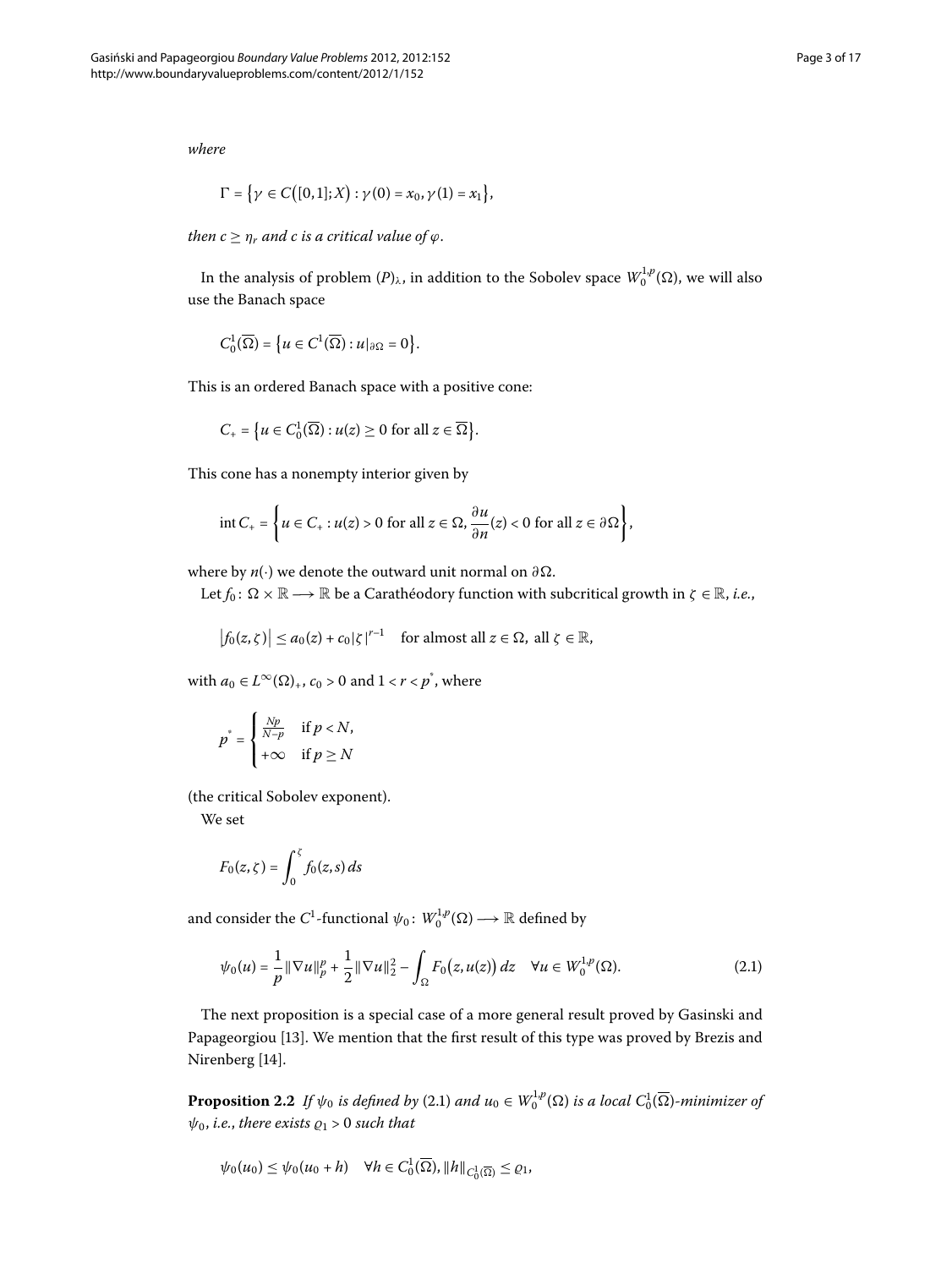*where*

$$
\Gamma = \{ \gamma \in C([0,1];X) : \gamma(0) = x_0, \gamma(1) = x_1 \},\
$$

*then*  $c \geq \eta_r$  *and c is a critical value of*  $\varphi$ *.* 

In the analysis of problem  $(P)_\lambda$  $(P)_\lambda$  $(P)_\lambda$ , in addition to the Sobolev space  $W_0^{1,p}(\Omega)$ , we will also use the Banach space

$$
C_0^1(\overline{\Omega}) = \big\{ u \in C^1(\overline{\Omega}) : u|_{\partial \Omega} = 0 \big\}.
$$

This is an ordered Banach space with a positive cone:

$$
C_{+} = \{u \in C_0^1(\overline{\Omega}) : u(z) \ge 0 \text{ for all } z \in \overline{\Omega}\}.
$$

This cone has a nonempty interior given by

$$
\text{int}\,C_+ = \left\{ u \in C_+: u(z) > 0 \text{ for all } z \in \Omega, \frac{\partial u}{\partial n}(z) < 0 \text{ for all } z \in \partial \Omega \right\},\
$$

where by *n*(·) we denote the outward unit normal on *∂*.

Let  $f_0: \Omega \times \mathbb{R} \longrightarrow \mathbb{R}$  be a Carathéodory function with subcritical growth in  $\zeta \in \mathbb{R}$ , *i.e.*,

$$
\left|f_0(z,\zeta)\right| \le a_0(z) + c_0|\zeta|^{r-1} \quad \text{for almost all } z \in \Omega, \text{ all } \zeta \in \mathbb{R},
$$

with  $a_0 \in L^{\infty}(\Omega)_{+}$ ,  $c_0 > 0$  and  $1 < r < p^*$ , where

$$
p^* = \begin{cases} \frac{Np}{N-p} & \text{if } p < N, \\ +\infty & \text{if } p \ge N \end{cases}
$$

 $\mathbf{r}$ 

(the critical Sobolev exponent).

We set

<span id="page-2-0"></span>
$$
F_0(z,\zeta)=\int_0^\zeta f_0(z,s)\,ds
$$

and consider the  $C^1$ -functional  $\psi_0\colon W_0^{1,p}(\Omega) \longrightarrow \mathbb{R}$  defined by

$$
\psi_0(u) = \frac{1}{p} \|\nabla u\|_p^p + \frac{1}{2} \|\nabla u\|_2^2 - \int_{\Omega} F_0(z, u(z)) dz \quad \forall u \in W_0^{1,p}(\Omega). \tag{2.1}
$$

The next proposition is a special case of a more general result proved by Gasinski and Papageorgiou [13[\]](#page-16-9). We mention that the first result of this type was proved by Brezis and Nirenberg [14[\]](#page-16-10).

**Proposition 2.2** If  $\psi_0$  is defined by (2.1) and  $u_0 \in W_0^{1,p}(\Omega)$  is a local  $C_0^1(\overline{\Omega})$ -minimizer of  $\psi_0$ , *i.e.*, *there exists*  $\rho_1 > 0$  *such that* 

$$
\psi_0(u_0) \le \psi_0(u_0 + h) \quad \forall h \in C_0^1(\overline{\Omega}), \|h\|_{C_0^1(\overline{\Omega})} \le \varrho_1,
$$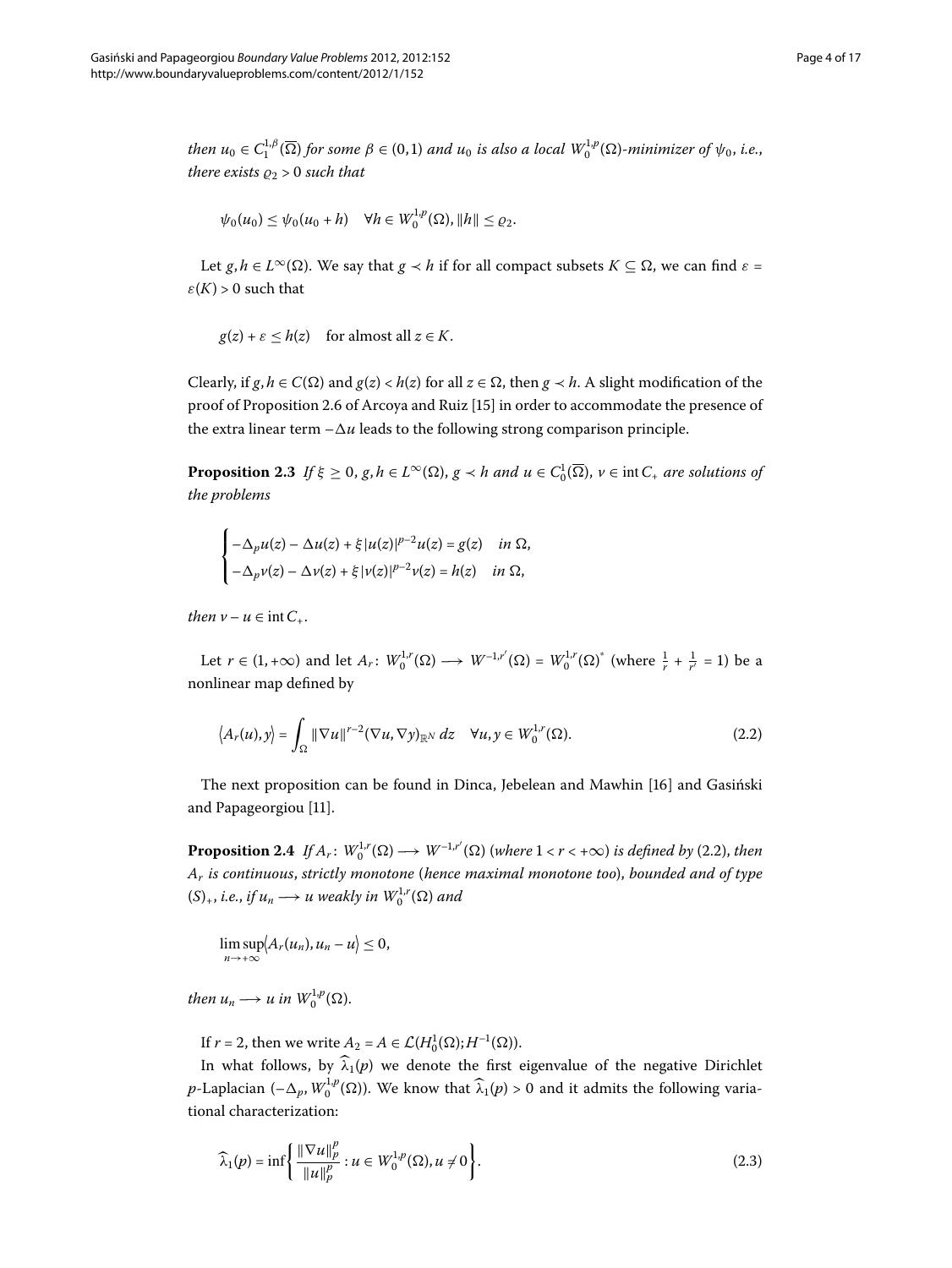*then*  $u_0 \in C_1^{1,\beta}(\overline{\Omega})$  for some  $\beta \in (0,1)$  and  $u_0$  is also a local  $W_0^{1,p}(\Omega)$ -minimizer of  $\psi_0$ , i.e., *there exists*  $\rho_2 > 0$  *such that* 

$$
\psi_0(u_0) \leq \psi_0(u_0 + h) \quad \forall h \in W_0^{1,p}(\Omega), ||h|| \leq \varrho_2.
$$

Let *g*,  $h \in L^{\infty}(\Omega)$ . We say that  $g \prec h$  if for all compact subsets  $K \subseteq \Omega$ , we can find  $\varepsilon =$  $\varepsilon(K) > 0$  such that

<span id="page-3-2"></span>
$$
g(z) + \varepsilon \leq h(z)
$$
 for almost all  $z \in K$ .

Clearly, if  $g, h \in C(\Omega)$  and  $g(z) < h(z)$  for all  $z \in \Omega$ , then  $g \prec h$ . A slight modification of the proof of Proposition 2.6 of Arcoya and Ruiz [\[](#page-16-11)15] in order to accommodate the presence of the extra linear term  $-\Delta u$  leads to the following strong comparison principle.

**Proposition 2.3** *If*  $\xi \geq 0$ ,  $g, h \in L^{\infty}(\Omega)$ ,  $g \prec h$  *and*  $u \in C_0^1(\overline{\Omega})$ ,  $v \in \text{int } C_+$  *are solutions of the problems*

<span id="page-3-0"></span>
$$
\label{eq:2.1} \begin{cases} -\Delta_p u(z)-\Delta u(z)+\xi\,|u(z)|^{p-2}u(z)=g(z) & \text{in }\Omega,\\ -\Delta_p v(z)-\Delta v(z)+\xi\,|v(z)|^{p-2}v(z)=h(z) & \text{in }\Omega, \end{cases}
$$

*then*  $v - u \in \text{int } C_+$ .

Let  $r \in (1, +\infty)$  and let  $A_r$ :  $W_0^{1,r}(\Omega) \longrightarrow W^{-1,r'}(\Omega) = W_0^{1,r}(\Omega)^*$  (where  $\frac{1}{r} + \frac{1}{r'} = 1$ ) be a nonlinear map defined by

<span id="page-3-3"></span>
$$
\langle A_r(u), y \rangle = \int_{\Omega} \|\nabla u\|^{r-2} (\nabla u, \nabla y)_{\mathbb{R}^N} dz \quad \forall u, y \in W_0^{1,r}(\Omega). \tag{2.2}
$$

The next proposition can be found in Dinca, Jebelean and Mawhin [16[\]](#page-16-12) and Gasiński and Papageorgiou [11].

**Proposition 2.4** If  $A_r: W_0^{1,r}(\Omega) \longrightarrow W^{-1,r'}(\Omega)$  (where  $1 < r < +\infty$ ) is defined by (2.2), then *Ar is continuous*, *strictly monotone* (*hence maximal monotone too*), *bounded and of type*  $(S)_+, i.e.,$  *if*  $u_n \longrightarrow u$  weakly in  $W_0^{1,r}(\Omega)$  and

<span id="page-3-1"></span>
$$
\limsup_{n\to+\infty}\langle A_r(u_n),u_n-u\rangle\leq 0,
$$

*then*  $u_n \longrightarrow u$  *in*  $W_0^{1,p}(\Omega)$ .

If  $r = 2$ , then we write  $A_2 = A \in \mathcal{L}(H_0^1(\Omega); H^{-1}(\Omega)).$ 

In what follows, by  $\hat{\lambda}_1(p)$  we denote the first eigenvalue of the negative Dirichlet *p*-Laplacian (– $\Delta_p$ ,  $W_0^{1,p}(\Omega)$ ). We know that  $\widehat{\lambda}_1(p) > 0$  and it admits the following variational characterization:

$$
\widehat{\lambda}_1(p) = \inf \left\{ \frac{\|\nabla u\|_p^p}{\|u\|_p^p} : u \in W_0^{1,p}(\Omega), u \neq 0 \right\}.
$$
\n(2.3)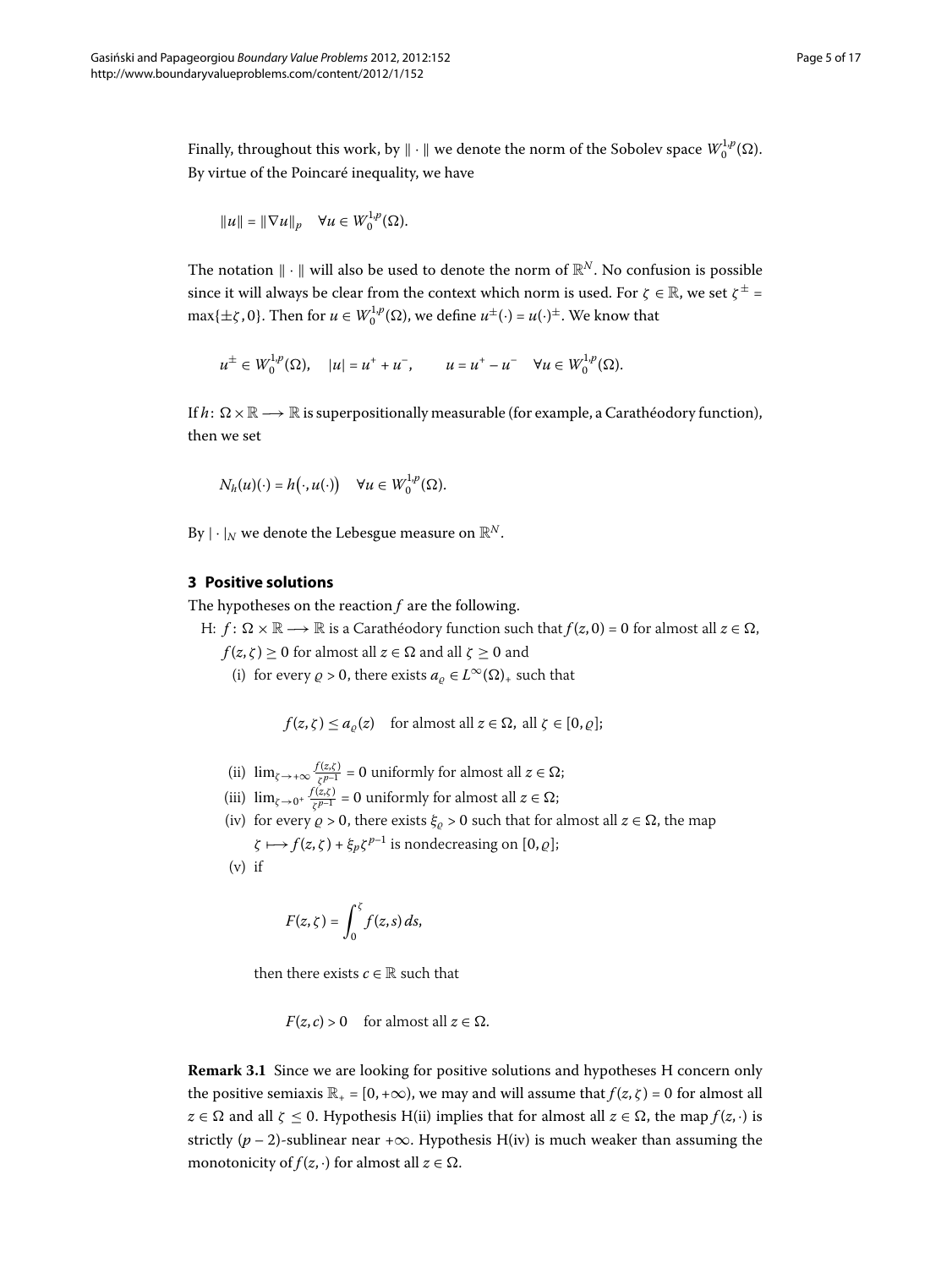Finally, throughout this work, by  $\|\cdot\|$  we denote the norm of the Sobolev space  $W^{1,p}_0(\Omega)$ . By virtue of the Poincaré inequality, we have

$$
||u|| = ||\nabla u||_p \quad \forall u \in W_0^{1,p}(\Omega).
$$

The notation  $\|\cdot\|$  will also be used to denote the norm of  $\mathbb{R}^N$ . No confusion is possible since it will always be clear from the context which norm is used. For  $\zeta \in \mathbb{R}$ , we set  $\zeta^{\pm}$  =  $\max{\{\pm \zeta, 0\}}$ . Then for  $u \in W_0^{1,p}(\Omega)$ , we define  $u^{\pm}(\cdot) = u(\cdot)^{\pm}$ . We know that

$$
u^{\pm} \in W_0^{1,p}(\Omega), \quad |u| = u^+ + u^-, \qquad u = u^+ - u^- \quad \forall u \in W_0^{1,p}(\Omega).
$$

If  $h: \Omega \times \mathbb{R} \longrightarrow \mathbb{R}$  is superpositionally measurable (for example, a Carathéodory function), then we set

$$
N_h(u)(\cdot) = h(\cdot, u(\cdot)) \quad \forall u \in W_0^{1,p}(\Omega).
$$

By  $|\cdot|_N$  we denote the Lebesgue measure on  $\mathbb{R}^N$ .

# **3 Positive solutions**

The hypotheses on the reaction *f* are the following.

H:  $f: \Omega \times \mathbb{R} \longrightarrow \mathbb{R}$  is a Carathéodory function such that  $f(z, 0) = 0$  for almost all  $z \in \Omega$ ,

 $f(z,\zeta) \ge 0$  for almost all  $z \in \Omega$  and all  $\zeta \ge 0$  and

(i) for every  $\rho > 0$ , there exists  $a_{\rho} \in L^{\infty}(\Omega)$ <sub>+</sub> such that

 $f(z, \zeta) \leq a_{\rho}(z)$  for almost all  $z \in \Omega$ , all  $\zeta \in [0, \rho];$ 

- (ii)  $\lim_{\zeta \to +\infty} \frac{f(z,\zeta)}{\zeta^{p-1}} = 0$  uniformly for almost all  $z \in \Omega$ ;
- (iii)  $\lim_{\zeta \to 0^+} \frac{f(z,\zeta)}{\zeta^{p-1}} = 0$  uniformly for almost all  $z \in \Omega$ ;
- (iv) for every  $\rho > 0$ , there exists  $\xi_{\rho} > 0$  such that for almost all  $z \in \Omega$ , the map  $\zeta \mapsto f(z, \zeta) + \xi_p \zeta^{p-1}$  is nondecreasing on [0,  $\varrho$ ];

$$
(v) if
$$

$$
F(z,\zeta)=\int_0^\zeta f(z,s)\,ds,
$$

then there exists  $c \in \mathbb{R}$  such that

 $F(z, c) > 0$  for almost all  $z \in \Omega$ .

**Remark 3.1** Since we are looking for positive solutions and hypotheses H concern only the positive semiaxis  $\mathbb{R}_+ = [0, +\infty)$ , we may and will assume that  $f(z, \zeta) = 0$  for almost all  $z \in \Omega$  and all  $\zeta \leq 0$ . Hypothesis H(ii) implies that for almost all  $z \in \Omega$ , the map  $f(z, \cdot)$  is strictly ( $p - 2$ )-sublinear near +∞. Hypothesis H(iv) is much weaker than assuming the monotonicity of  $f(z, \cdot)$  for almost all  $z \in \Omega$ .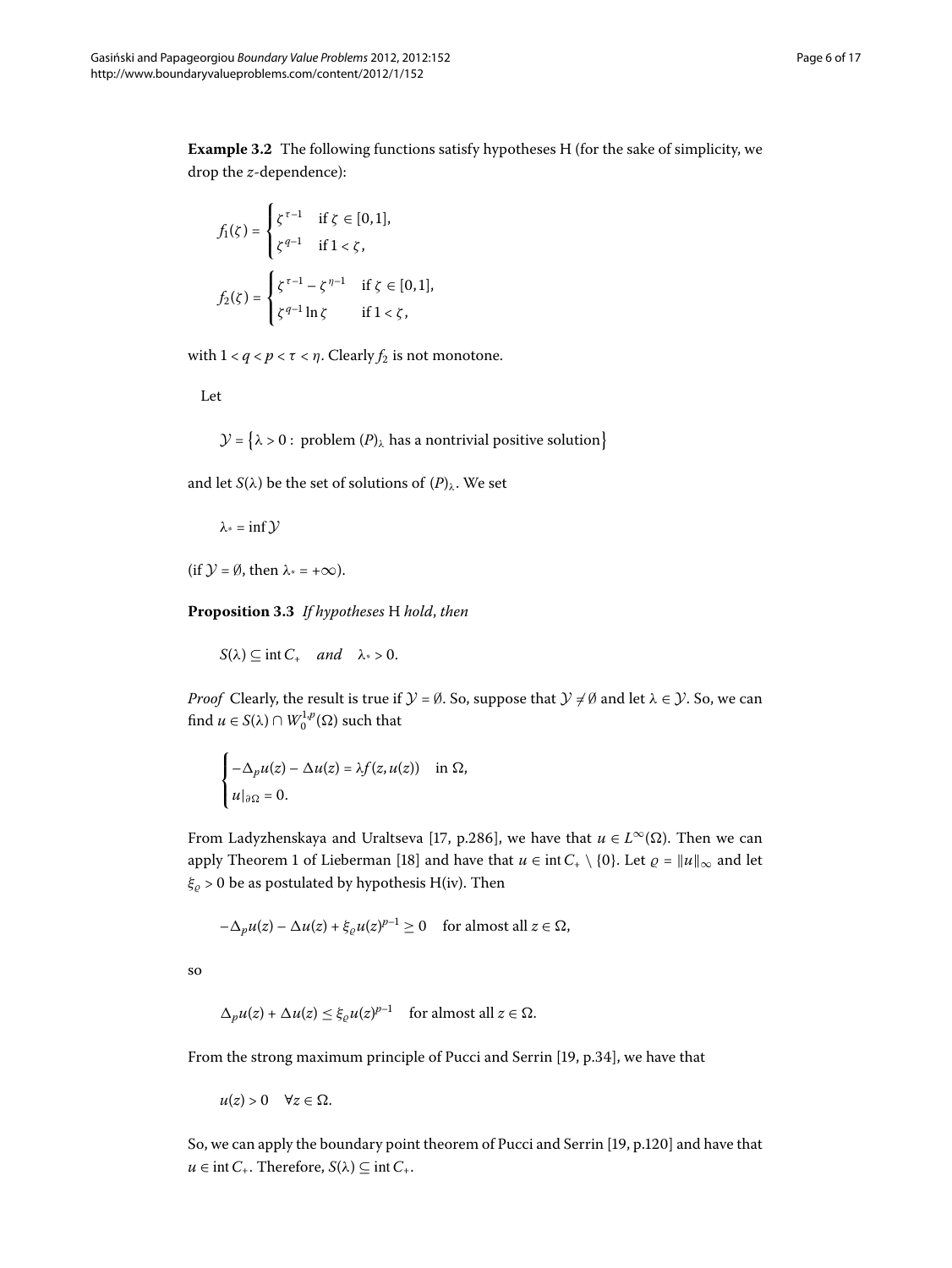**Example 3.2** The following functions satisfy hypotheses H (for the sake of simplicity, we drop the *z*-dependence):

$$
f_1(\zeta) = \begin{cases} \zeta^{\tau-1} & \text{if } \zeta \in [0,1], \\ \zeta^{q-1} & \text{if } 1 < \zeta, \end{cases}
$$
\n
$$
f_2(\zeta) = \begin{cases} \zeta^{\tau-1} - \zeta^{\eta-1} & \text{if } \zeta \in [0,1], \\ \zeta^{q-1} \ln \zeta & \text{if } 1 < \zeta, \end{cases}
$$

with  $1 < q < p < \tau < \eta$ . Clearly  $f_2$  is not monotone.

Let

 $\mathcal{Y} = \{ \lambda > 0 : \text{ problem } (P)_{\lambda} \text{ has a nontrivial positive solution} \}$  $\mathcal{Y} = \{ \lambda > 0 : \text{ problem } (P)_{\lambda} \text{ has a nontrivial positive solution} \}$  $\mathcal{Y} = \{ \lambda > 0 : \text{ problem } (P)_{\lambda} \text{ has a nontrivial positive solution} \}$ 

<span id="page-5-0"></span>and let *S*( $\lambda$ ) be the set of solutions of  $(P)_{\lambda}$  $(P)_{\lambda}$  $(P)_{\lambda}$ . We set

$$
\lambda_* = \inf \mathcal{Y}
$$

(if  $\mathcal{Y} = \emptyset$ , then  $\lambda^* = +\infty$ ).

**Proposition .** *If hypotheses* H *hold*, *then*

$$
S(\lambda) \subseteq \text{int } C_+ \quad \text{and} \quad \lambda_* > 0.
$$

*Proof* Clearly, the result is true if  $\mathcal{Y} = \emptyset$ . So, suppose that  $\mathcal{Y} \neq \emptyset$  and let  $\lambda \in \mathcal{Y}$ . So, we can find  $u \in S(\lambda) \cap W_0^{1,p}(\Omega)$  such that

$$
\begin{cases}\n-\Delta_p u(z) - \Delta u(z) = \lambda f(z, u(z)) & \text{in } \Omega, \\
u|_{\partial \Omega} = 0.\n\end{cases}
$$

From Ladyzhenskaya and Uraltseva [\[](#page-16-13)17, p.286], we have that  $u \in L^{\infty}(\Omega)$ . Then we can apply Theorem 1 of Lieberman [18[\]](#page-16-14) and have that  $u \in \text{int } C_+ \setminus \{0\}$ . Let  $\varrho = ||u||_{\infty}$  and let  $\xi$ <sub>ρ</sub> > 0 be as postulated by hypothesis H(iv). Then

$$
-\Delta_p u(z) - \Delta u(z) + \xi_{\varrho} u(z)^{p-1} \ge 0 \quad \text{for almost all } z \in \Omega,
$$

so

$$
\Delta_p u(z) + \Delta u(z) \le \xi_{\varrho} u(z)^{p-1} \quad \text{for almost all } z \in \Omega.
$$

From the strong maximum principle of Pucci and Serrin [\[](#page-16-15)19, p.34], we have that

 $u(z) > 0 \quad \forall z \in \Omega$ .

So, we can apply the boundary point theorem of Pucci and Serrin [\[](#page-16-15)19, p.120] and have that  $u \in \text{int } C_+$ . Therefore,  $S(\lambda) \subseteq \text{int } C_+$ .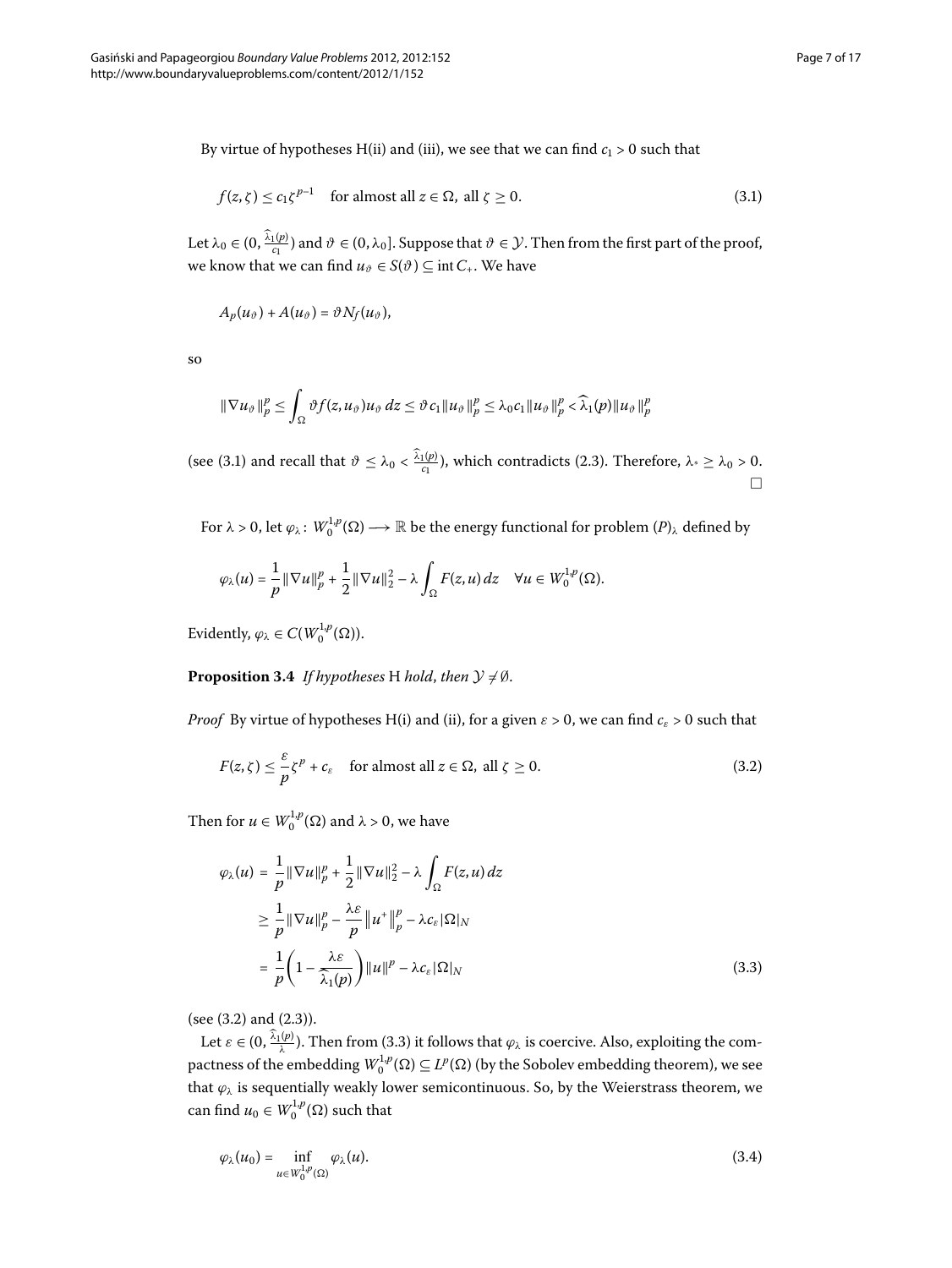By virtue of hypotheses H(ii) and (iii), we see that we can find  $c_1 > 0$  such that

<span id="page-6-0"></span>
$$
f(z,\zeta) \le c_1 \zeta^{p-1} \quad \text{for almost all } z \in \Omega, \text{ all } \zeta \ge 0. \tag{3.1}
$$

Let  $\lambda_0 \in (0, \frac{\lambda_1(p)}{c_1})$  and  $\vartheta \in (0, \lambda_0]$ . Suppose that  $\vartheta \in \mathcal{Y}$ . Then from the first part of the proof, we know that we can find  $u_{\vartheta} \in S(\vartheta) \subseteq \text{int } C_+$ . We have

$$
A_p(u_{\vartheta})+A(u_{\vartheta})=\vartheta N_f(u_{\vartheta}),
$$

so

$$
\|\nabla u_{\vartheta}\|_p^p \leq \int_{\Omega} \vartheta f(z, u_{\vartheta}) u_{\vartheta} dz \leq \vartheta c_1 \|u_{\vartheta}\|_p^p \leq \lambda_0 c_1 \|u_{\vartheta}\|_p^p < \widehat{\lambda}_1(p) \|u_{\vartheta}\|_p^p
$$

(see (3[.](#page-3-1)1) and recall that  $\vartheta \leq \lambda_0 < \frac{\lambda_1(p)}{c_1}$ ), which contradicts (2.3). Therefore,  $\lambda^* \geq \lambda_0 > 0$ .  $\Box$ 

<span id="page-6-4"></span>For  $\lambda > 0$ , let  $\varphi_\lambda \colon W_0^{1,p}(\Omega) \longrightarrow \mathbb{R}$  be the energy functional for problem  $(P)_\lambda$  $(P)_\lambda$  $(P)_\lambda$  defined by

<span id="page-6-1"></span>
$$
\varphi_\lambda(u)=\frac{1}{p}\|\nabla u\|_p^p+\frac{1}{2}\|\nabla u\|_2^2-\lambda\int_\Omega F(z,u)\,dz\quad\forall u\in W_0^{1,p}(\Omega).
$$

Evidently,  $\varphi_{\lambda} \in C(W_0^{1,p}(\Omega))$ .

# **Proposition 3.4** *If hypotheses* H *hold*, *then*  $\mathcal{Y} \neq \emptyset$ .

<span id="page-6-2"></span>*Proof* By virtue of hypotheses H(i) and (ii), for a given  $\varepsilon > 0$ , we can find  $c_{\varepsilon} > 0$  such that

$$
F(z,\zeta) \leq \frac{\varepsilon}{p}\zeta^p + c_{\varepsilon} \quad \text{for almost all } z \in \Omega, \text{ all } \zeta \geq 0.
$$
 (3.2)

Then for  $u \in W_0^{1,p}(\Omega)$  and  $\lambda > 0$ , we have

$$
\varphi_{\lambda}(u) = \frac{1}{p} \|\nabla u\|_{p}^{p} + \frac{1}{2} \|\nabla u\|_{2}^{2} - \lambda \int_{\Omega} F(z, u) dz
$$
  
\n
$$
\geq \frac{1}{p} \|\nabla u\|_{p}^{p} - \frac{\lambda \varepsilon}{p} \|u^{+}\|_{p}^{p} - \lambda c_{\varepsilon} |\Omega|_{N}
$$
  
\n
$$
= \frac{1}{p} \left(1 - \frac{\lambda \varepsilon}{\lambda_{1}(p)}\right) \|u\|^{p} - \lambda c_{\varepsilon} |\Omega|_{N}
$$
\n(3.3)

(see  $(3.2)$  and  $(2.3)$ ).

Let  $\varepsilon \in (0, \frac{\lambda_1(p)}{\lambda})$ [.](#page-6-2) Then from (3.3) it follows that  $\varphi_\lambda$  is coercive. Also, exploiting the compactness of the embedding  $W_0^{1,p}(\Omega) \subseteq L^p(\Omega)$  (by the Sobolev embedding theorem), we see that  $\varphi_{\lambda}$  is sequentially weakly lower semicontinuous. So, by the Weierstrass theorem, we can find  $u_0 \in W_0^{1,p}(\Omega)$  such that

<span id="page-6-3"></span>
$$
\varphi_{\lambda}(u_0) = \inf_{u \in W_0^{1,p}(\Omega)} \varphi_{\lambda}(u). \tag{3.4}
$$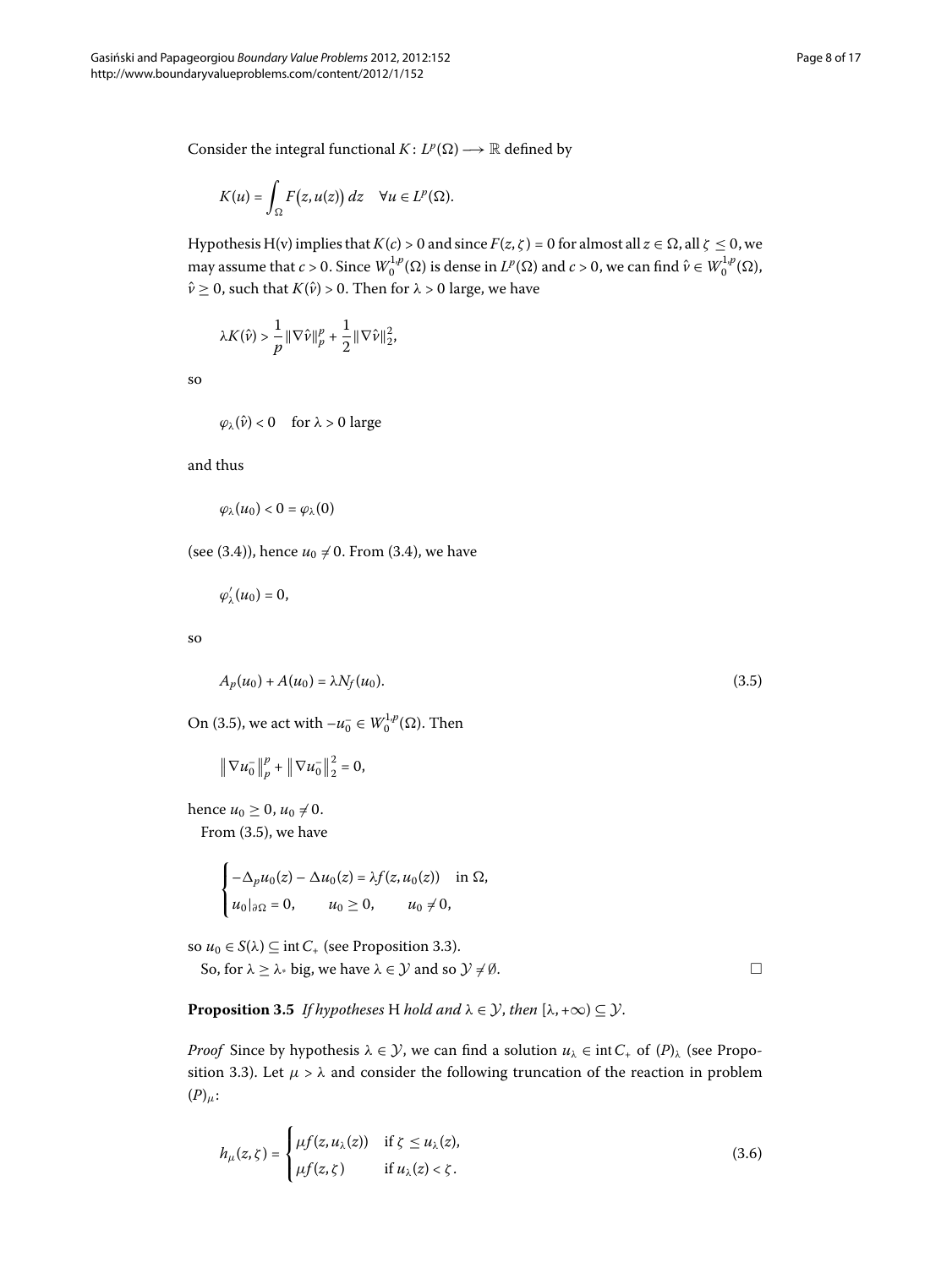Consider the integral functional  $K: L^p(\Omega) \longrightarrow \mathbb{R}$  defined by

$$
K(u) = \int_{\Omega} F(z, u(z)) dz \quad \forall u \in L^{p}(\Omega).
$$

Hypothesis H(v) implies that  $K(c) > 0$  and since  $F(z, \zeta) = 0$  for almost all  $z \in \Omega$ , all  $\zeta \le 0$ , we may assume that  $c > 0$ . Since  $W_0^{1,p}(\Omega)$  is dense in  $L^p(\Omega)$  and  $c > 0$ , we can find  $\hat{v} \in W_0^{1,p}(\Omega)$ ,  $\hat{v} \ge 0$ , such that  $K(\hat{v}) > 0$ . Then for  $\lambda > 0$  large, we have

$$
\lambda K(\hat{\boldsymbol{\nu}}) > \frac{1}{p}\|\nabla\hat{\boldsymbol{\nu}}\|_p^p + \frac{1}{2}\|\nabla\hat{\boldsymbol{\nu}}\|_2^2,
$$

so

$$
\varphi_{\lambda}(\hat{\nu}) < 0
$$
 for  $\lambda > 0$  large

and thus

$$
\varphi_\lambda(u_0)<0=\varphi_\lambda(0)
$$

(see (3.4)), hence  $u_0 \neq 0$ . From (3.4), we have

$$
\varphi'_{\lambda}(u_0)=0,
$$

so

$$
A_p(u_0) + A(u_0) = \lambda N_f(u_0).
$$
\n(3.5)

On (3.5), we act with  $-u_0^- \in W_0^{1,p}(\Omega)$ . Then

$$
\|\nabla u_0^-\|_p^p + \|\nabla u_0^-\|_2^2 = 0,
$$

hence  $u_0 \ge 0$ ,  $u_0 \ne 0$ . From  $(3.5)$  $(3.5)$  $(3.5)$ , we have

 $\overline{a}$ 

<span id="page-7-2"></span>
$$
\begin{cases}\n-\Delta_p u_0(z) - \Delta u_0(z) = \lambda f(z, u_0(z)) & \text{in } \Omega, \\
u_0|_{\partial \Omega} = 0, & u_0 \ge 0, \quad u_0 \ne 0,\n\end{cases}
$$

so  $u_0 \in S(\lambda) \subseteq \text{int } C_+$  (see Proposition 3[.](#page-5-0)3).

So, for  $\lambda \geq \lambda$ <sup>\*</sup> big, we have  $\lambda \in \mathcal{Y}$  and so  $\mathcal{Y} \neq \emptyset$ .

**Proposition 3.5** If hypotheses H hold and  $\lambda \in \mathcal{Y}$ , then  $[\lambda, +\infty) \subseteq \mathcal{Y}$ .

*[P](#page-0-1)roof* Since by hypothesis  $\lambda \in \mathcal{Y}$ , we can find a solution  $u_{\lambda} \in \text{int } C_+$  of  $(P)_{\lambda}$  (see Proposition 3.3). Let  $\mu > \lambda$  and consider the following truncation of the reaction in problem  $(P)_{\mu}$ :

$$
h_{\mu}(z,\zeta) = \begin{cases} \mu f(z, u_{\lambda}(z)) & \text{if } \zeta \le u_{\lambda}(z), \\ \mu f(z,\zeta) & \text{if } u_{\lambda}(z) < \zeta. \end{cases}
$$
 (3.6)

<span id="page-7-1"></span><span id="page-7-0"></span> $\Box$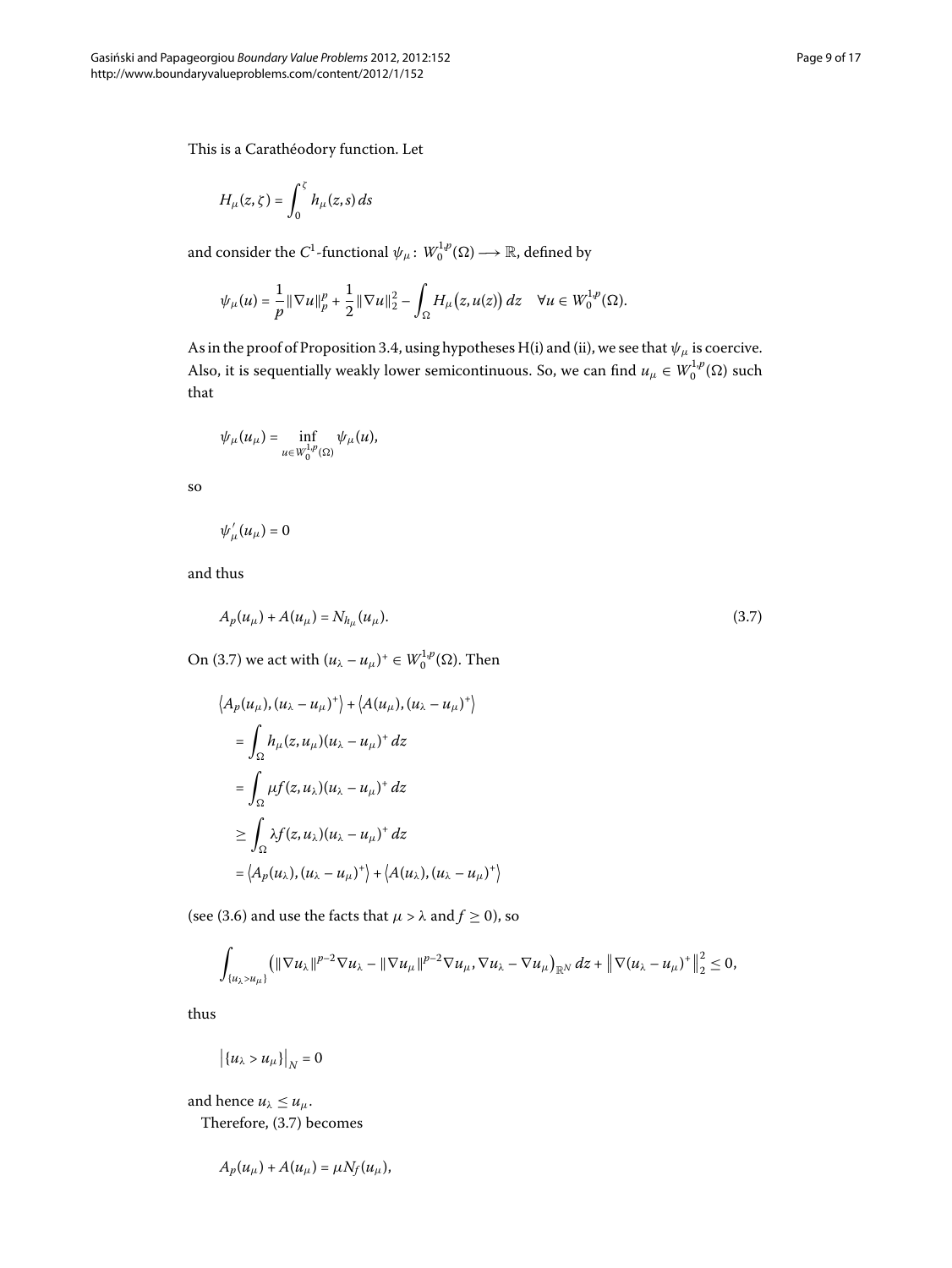This is a Carathéodory function. Let

$$
H_{\mu}(z,\zeta)=\int_0^{\zeta}h_{\mu}(z,s)\,ds
$$

and consider the  $C^1$ -functional  $\psi_\mu\colon W^{1,p}_0(\Omega)\longrightarrow \mathbb{R}$ , defined by

$$
\psi_\mu(u)=\frac{1}{p}\|\nabla u\|_p^p+\frac{1}{2}\|\nabla u\|_2^2-\int_\Omega H_\mu\big(z,u(z)\big)\,dz\quad\forall u\in W^{1,p}_0(\Omega).
$$

As in the proof of Proposition 3.4, using hypotheses H(i) and (ii), we see that  $\psi_\mu$  is coercive. Also, it is sequentially weakly lower semicontinuous. So, we can find  $u_\mu \in W^{1,p}_0(\Omega)$  such that

$$
\psi_\mu(u_\mu)=\inf_{u\in W^{1,p}_0(\Omega)}\psi_\mu(u),
$$

so

<span id="page-8-0"></span>
$$
\psi_\mu'(u_\mu)=0
$$

and thus

$$
A_p(u_\mu) + A(u_\mu) = N_{h_\mu}(u_\mu). \tag{3.7}
$$

On (3.7) we act with  $(u_\lambda - u_\mu)^+ \in W_0^{1,p}(\Omega)$ . Then

$$
\langle A_p(u_\mu), (u_\lambda - u_\mu)^+ \rangle + \langle A(u_\mu), (u_\lambda - u_\mu)^+ \rangle
$$
  
\n
$$
= \int_{\Omega} h_\mu(z, u_\mu)(u_\lambda - u_\mu)^+ dz
$$
  
\n
$$
= \int_{\Omega} \mu f(z, u_\lambda)(u_\lambda - u_\mu)^+ dz
$$
  
\n
$$
\geq \int_{\Omega} \lambda f(z, u_\lambda)(u_\lambda - u_\mu)^+ dz
$$
  
\n
$$
= \langle A_p(u_\lambda), (u_\lambda - u_\mu)^+ \rangle + \langle A(u_\lambda), (u_\lambda - u_\mu)^+ \rangle
$$

(see (3.6) and use the facts that  $\mu > \lambda$  and  $f \ge 0$ ), so

$$
\int_{\{u_\lambda>u_\mu\}} \left( \|\nabla u_\lambda\|^{p-2}\nabla u_\lambda - \|\nabla u_\mu\|^{p-2}\nabla u_\mu, \nabla u_\lambda - \nabla u_\mu \right)_{\mathbb{R}^N} dz + \left\|\nabla (u_\lambda - u_\mu)^+\right\|_2^2 \leq 0,
$$

thus

$$
\left|\left\{u_\lambda>u_\mu\right\}\right|_N=0
$$

and hence  $u_{\lambda} \leq u_{\mu}$ . Therefore, (3.7) becomes

$$
A_p(u_\mu) + A(u_\mu) = \mu N_f(u_\mu),
$$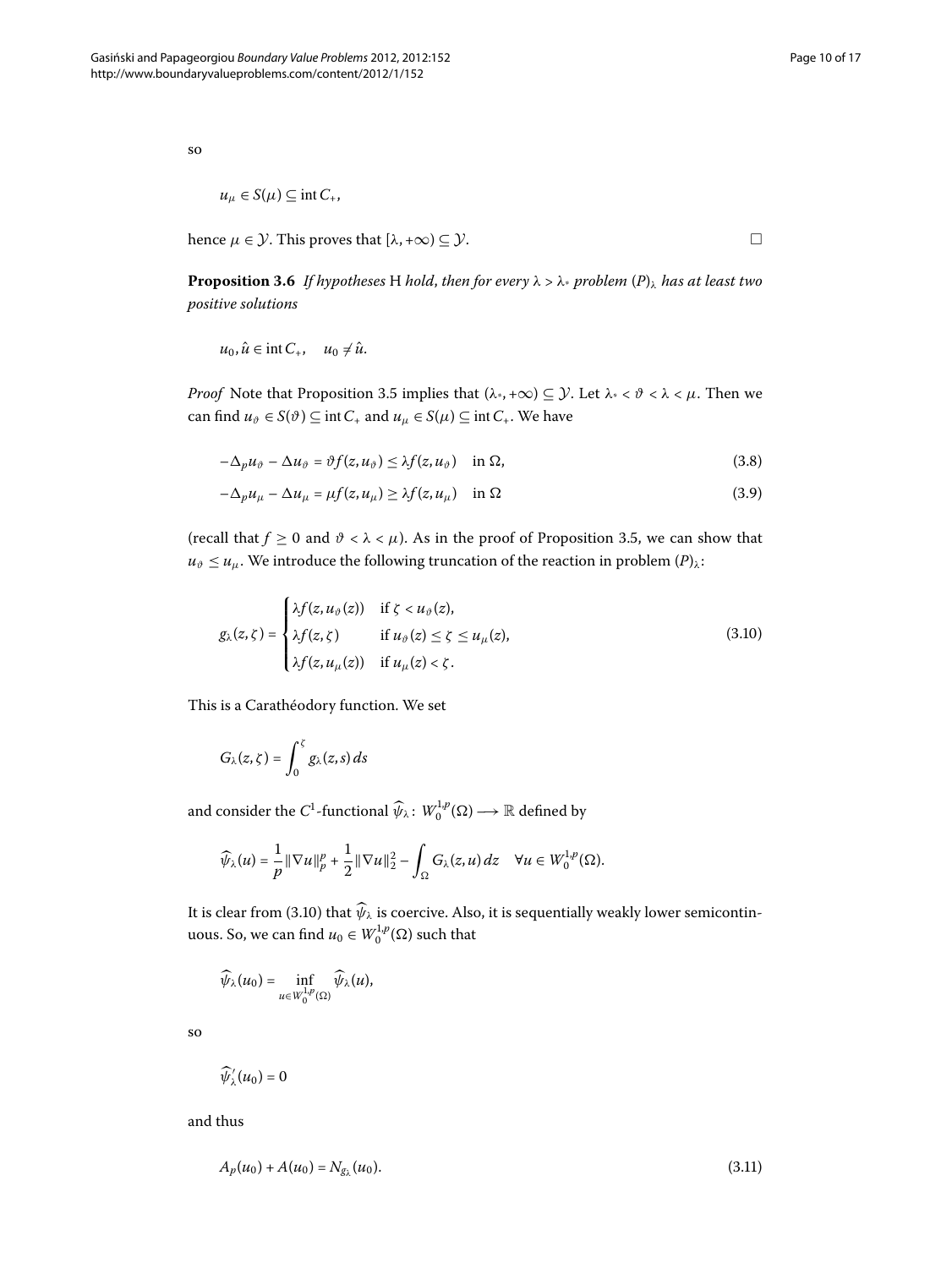so

$$
u_{\mu} \in S(\mu) \subseteq \text{int } C_*,
$$

hence  $\mu \in \mathcal{Y}$ . This proves that  $[\lambda, +\infty) \subseteq \mathcal{Y}$ .

**[P](#page-0-1)roposition 3.6** *If hypotheses* H *hold, then for every*  $\lambda > \lambda$  *coeffer problem*  $(P)_{\lambda}$  *has at least two positive solutions*

 $u_0, \hat{u} \in \text{int } C_+, \quad u_0 \neq \hat{u}.$ 

*Proof* Note that Proposition 3[.](#page-7-2)5 implies that  $(\lambda_*, +\infty) \subseteq \mathcal{Y}$ . Let  $\lambda_* < \theta < \lambda < \mu$ . Then we can find  $u_{\vartheta} \in S(\vartheta) \subseteq \text{int } C_+$  and  $u_{\mu} \in S(\mu) \subseteq \text{int } C_+$ . We have

$$
-\Delta_p u_{\vartheta} - \Delta u_{\vartheta} = \vartheta f(z, u_{\vartheta}) \leq \lambda f(z, u_{\vartheta}) \quad \text{in } \Omega,
$$
\n(3.8)

$$
-\Delta_p u_\mu - \Delta u_\mu = \mu f(z, u_\mu) \ge \lambda f(z, u_\mu) \quad \text{in } \Omega \tag{3.9}
$$

(recall that  $f \ge 0$  and  $\vartheta < \lambda < \mu$ )[.](#page-7-2) As in the proof of Proposition 3.5, we can show that  $u_{\vartheta} \leq u_{\mu}$ . We introduce the following truncation of the reaction in problem  $(P)_{\lambda}$  $(P)_{\lambda}$  $(P)_{\lambda}$ :

$$
g_{\lambda}(z,\zeta) = \begin{cases} \lambda f(z, u_{\vartheta}(z)) & \text{if } \zeta < u_{\vartheta}(z), \\ \lambda f(z,\zeta) & \text{if } u_{\vartheta}(z) \leq \zeta \leq u_{\mu}(z), \\ \lambda f(z, u_{\mu}(z)) & \text{if } u_{\mu}(z) < \zeta. \end{cases}
$$
(3.10)

This is a Carathéodory function. We set

$$
G_{\lambda}(z,\zeta)=\int_0^{\zeta}g_{\lambda}(z,s)\,ds
$$

and consider the  $C^1$ -functional  $\widehat{\psi}_\lambda \colon W_0^{1,p}(\Omega) \longrightarrow \mathbb{R}$  defined by

$$
\widehat{\psi}_{\lambda}(u)=\frac{1}{p}\|\nabla u\|_p^p+\frac{1}{2}\|\nabla u\|_2^2-\int_{\Omega}G_{\lambda}(z,u)\,dz\quad\forall u\in W_0^{1,p}(\Omega).
$$

It is clear from (3.10) that  $\psi_{\lambda}$  is coercive. Also, it is sequentially weakly lower semicontinuous. So, we can find  $u_0 \in W_0^{1,p}(\Omega)$  such that

<span id="page-9-1"></span>
$$
\widehat{\psi}_\lambda(u_0)=\inf_{u\in W_0^{1,p}(\Omega)}\widehat{\psi}_\lambda(u),
$$

so

$$
\widehat{\psi}'_{\lambda}(u_0)=0
$$

and thus

$$
A_p(u_0) + A(u_0) = N_{g_\lambda}(u_0). \tag{3.11}
$$

<span id="page-9-0"></span> $\Box$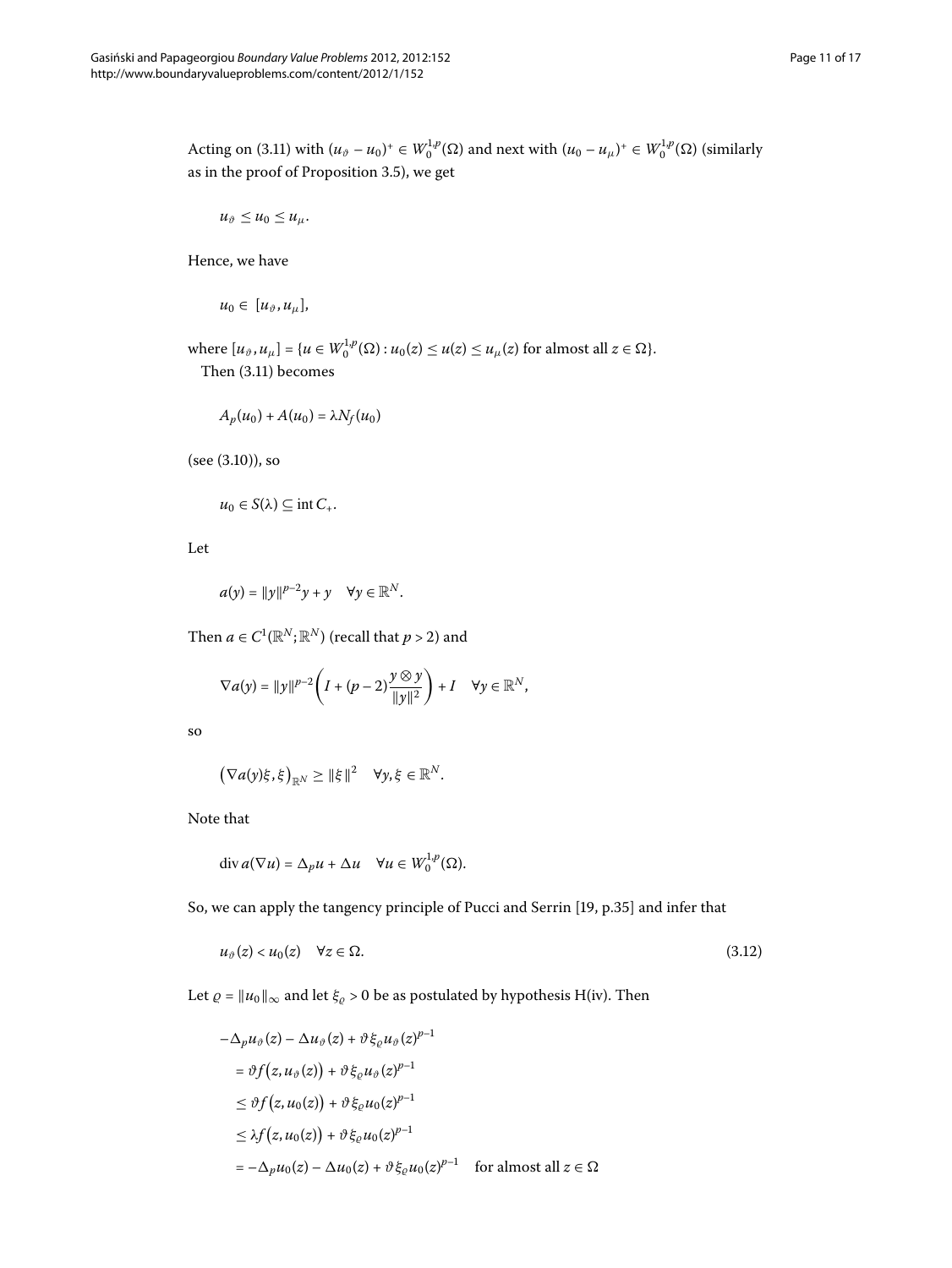Acting on (3[.](#page-9-1)11) with  $(u_{\vartheta} - u_0)^+ \in W_0^{1,p}(\Omega)$  and next with  $(u_0 - u_\mu)^+ \in W_0^{1,p}(\Omega)$  (similarly as in the proof of Proposition  $3.5$ ), we get

$$
u_{\vartheta}\leq u_0\leq u_{\mu}.
$$

Hence, we have

$$
u_0\in [u_\vartheta,u_\mu],
$$

where  $[u_{\vartheta}, u_{\mu}] = \{u \in W_0^{1,p}(\Omega) : u_0(z) \leq u(z) \leq u_{\mu}(z) \text{ for almost all } z \in \Omega\}.$ Then  $(3.11)$  $(3.11)$  $(3.11)$  becomes

$$
A_p(u_0) + A(u_0) = \lambda N_f(u_0)
$$

 $(see (3.10)), so$ 

$$
u_0 \in S(\lambda) \subseteq \text{int } C_+.
$$

Let

$$
a(y) = ||y||^{p-2}y + y \quad \forall y \in \mathbb{R}^N.
$$

Then  $a \in C^1(\mathbb{R}^N;\mathbb{R}^N)$  (recall that  $p > 2$ ) and

$$
\nabla a(y) = ||y||^{p-2} \left(I + (p-2) \frac{y \otimes y}{||y||^2}\right) + I \quad \forall y \in \mathbb{R}^N,
$$

so

$$
(\nabla a(y)\xi,\xi)_{\mathbb{R}^N}\geq \|\xi\|^2\quad \forall y,\xi\in\mathbb{R}^N.
$$

Note that

<span id="page-10-0"></span>
$$
\operatorname{div} a(\nabla u) = \Delta_p u + \Delta u \quad \forall u \in W_0^{1,p}(\Omega).
$$

So, we can apply the tangency principle of Pucci and Serrin [\[](#page-16-15)19, p.35] and infer that

$$
u_{\vartheta}(z) < u_0(z) \quad \forall z \in \Omega. \tag{3.12}
$$

Let  $\varrho = ||u_0||_{\infty}$  and let  $\xi_{\varrho} > 0$  be as postulated by hypothesis H(iv). Then

$$
-\Delta_p u_{\vartheta}(z) - \Delta u_{\vartheta}(z) + \vartheta \xi_{\varrho} u_{\vartheta}(z)^{p-1}
$$
  
\n
$$
= \vartheta f(z, u_{\vartheta}(z)) + \vartheta \xi_{\varrho} u_{\vartheta}(z)^{p-1}
$$
  
\n
$$
\leq \vartheta f(z, u_0(z)) + \vartheta \xi_{\varrho} u_0(z)^{p-1}
$$
  
\n
$$
\leq \lambda f(z, u_0(z)) + \vartheta \xi_{\varrho} u_0(z)^{p-1}
$$
  
\n
$$
= -\Delta_p u_0(z) - \Delta u_0(z) + \vartheta \xi_{\varrho} u_0(z)^{p-1} \quad \text{for almost all } z \in \Omega
$$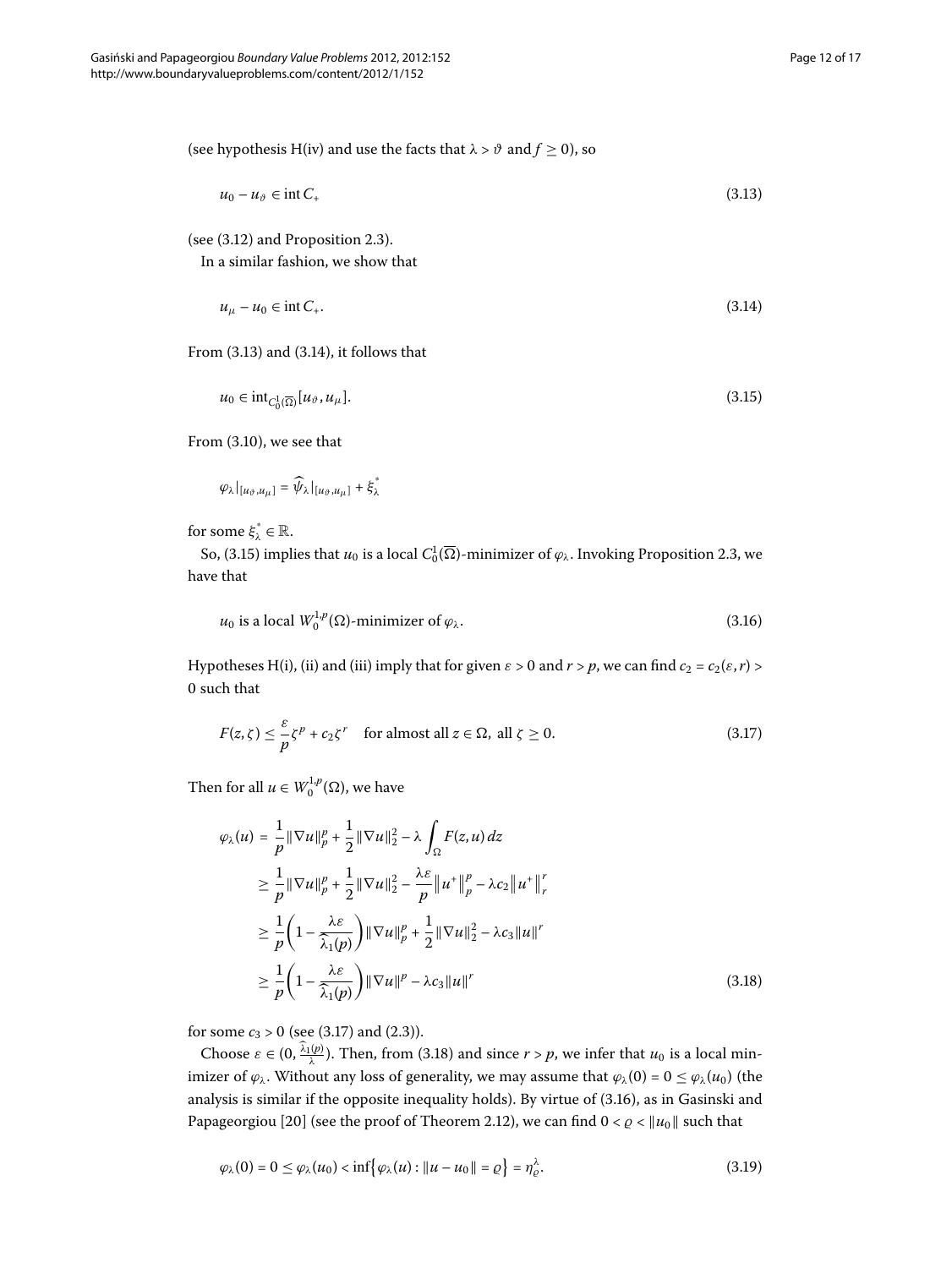(see hypothesis H(iv) and use the facts that  $\lambda > \vartheta$  and  $f \ge 0$ ), so

<span id="page-11-1"></span><span id="page-11-0"></span>
$$
u_0 - u_\vartheta \in \text{int}\, C_+ \tag{3.13}
$$

(see  $(3.12)$  and Proposition 2.3).

In a similar fashion, we show that

<span id="page-11-2"></span>
$$
u_{\mu} - u_0 \in \text{int } C_+.
$$
\n
$$
(3.14)
$$

From  $(3.13)$  and  $(3.14)$ , it follows that

$$
u_0 \in \mathrm{int}_{C_0^1(\overline{\Omega})} [u_{\vartheta}, u_{\mu}]. \tag{3.15}
$$

From  $(3.10)$ , we see that

<span id="page-11-5"></span>
$$
\varphi_{\lambda}|_{[u_{\vartheta},u_{\mu}]} = \widehat{\psi}_{\lambda}|_{[u_{\vartheta},u_{\mu}]} + \xi_{\lambda}^*
$$

for some  $\xi^*_{\lambda} \in \mathbb{R}$ .

So, (3[.](#page-3-1)15) implies that  $u_0$  is a local  $C_0^1(\overline{\Omega})$ -minimizer of  $\varphi_\lambda$ . Invoking Proposition 2.3, we have that

<span id="page-11-3"></span>
$$
u_0 \text{ is a local } W_0^{1,p}(\Omega) \text{-minimizer of } \varphi_\lambda. \tag{3.16}
$$

<span id="page-11-4"></span>Hypotheses H(i), (ii) and (iii) imply that for given  $\varepsilon > 0$  and  $r > p$ , we can find  $c_2 = c_2(\varepsilon, r) > 0$ 0 such that

$$
F(z,\zeta) \leq \frac{\varepsilon}{p} \zeta^{p} + c_{2} \zeta^{r} \quad \text{for almost all } z \in \Omega, \text{ all } \zeta \geq 0.
$$
 (3.17)

Then for all  $u \in W_0^{1,p}(\Omega)$ , we have

$$
\varphi_{\lambda}(u) = \frac{1}{p} \|\nabla u\|_{p}^{p} + \frac{1}{2} \|\nabla u\|_{2}^{2} - \lambda \int_{\Omega} F(z, u) dz
$$
  
\n
$$
\geq \frac{1}{p} \|\nabla u\|_{p}^{p} + \frac{1}{2} \|\nabla u\|_{2}^{2} - \frac{\lambda \varepsilon}{p} \|u^{+}\|_{p}^{p} - \lambda c_{2} \|u^{+}\|_{r}^{r}
$$
  
\n
$$
\geq \frac{1}{p} \left(1 - \frac{\lambda \varepsilon}{\hat{\lambda}_{1}(p)}\right) \|\nabla u\|_{p}^{p} + \frac{1}{2} \|\nabla u\|_{2}^{2} - \lambda c_{3} \|u\|^{r}
$$
  
\n
$$
\geq \frac{1}{p} \left(1 - \frac{\lambda \varepsilon}{\hat{\lambda}_{1}(p)}\right) \|\nabla u\|_{p}^{p} - \lambda c_{3} \|u\|^{r}
$$
\n(3.18)

for some  $c_3 > 0$  (see (3.17) and (2.3)).

Choose  $\varepsilon \in (0, \frac{\lambda_1(p)}{\lambda})$ . Then, from (3.18) and since  $r > p$ , we infer that  $u_0$  is a local minimizer of  $\varphi_{\lambda}$ . Without any loss of generality, we may assume that  $\varphi_{\lambda}(0) = 0 \leq \varphi_{\lambda}(u_0)$  (the analysis is similar if the opposite inequality holds)[.](#page-11-5) By virtue of (3.16), as in Gasinski and Papageorgiou [20[\]](#page-16-16) (see the proof of Theorem 2.12), we can find  $0 < \varrho < ||u_0||$  such that

<span id="page-11-6"></span>
$$
\varphi_{\lambda}(0) = 0 \le \varphi_{\lambda}(u_0) < \inf \{ \varphi_{\lambda}(u) : \|u - u_0\| = \varrho \} = \eta_{\varrho}^{\lambda}.\tag{3.19}
$$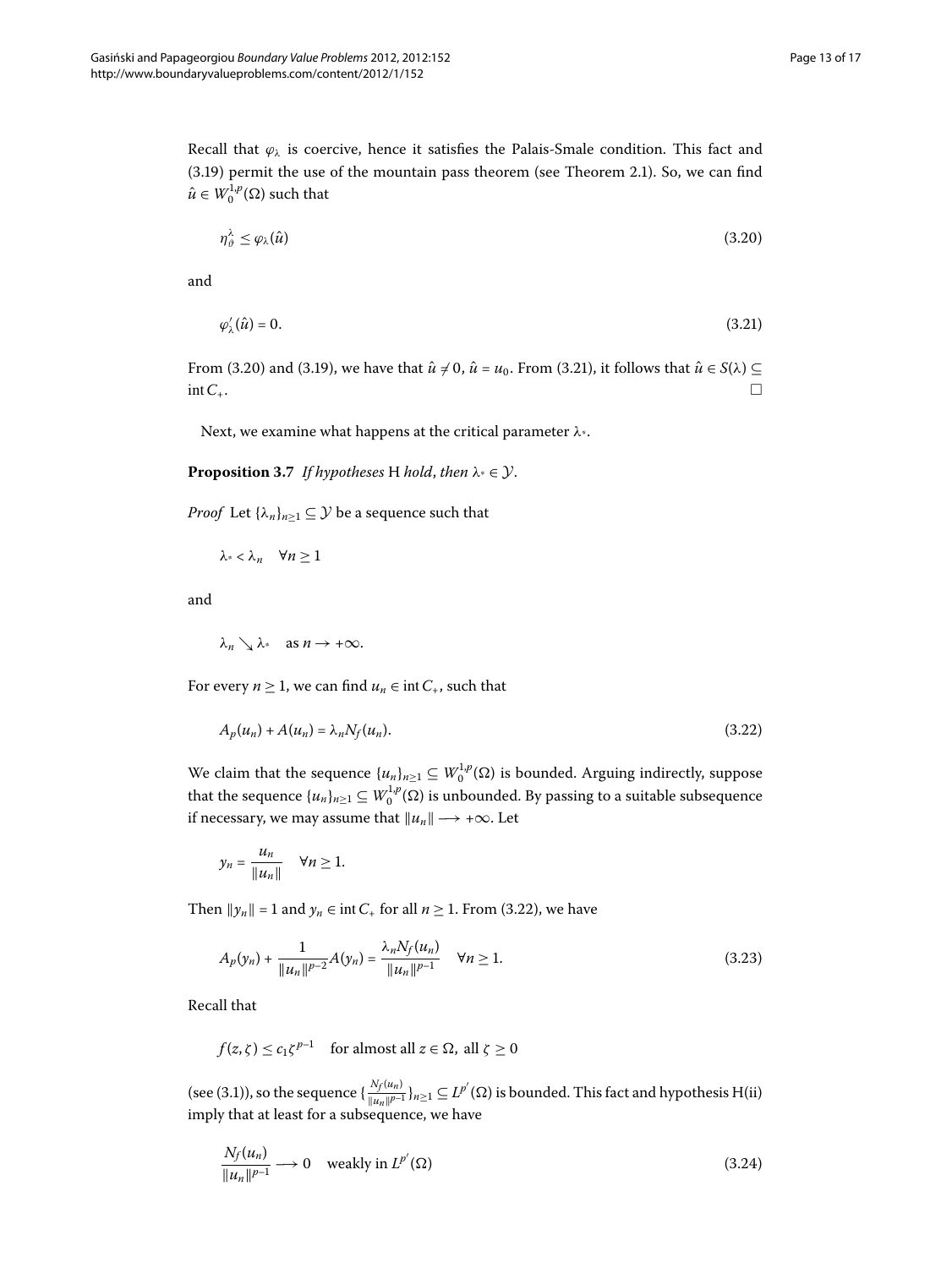Recall that  $\varphi_{\lambda}$  is coercive, hence it satisfies the Palais-Smale condition. This fact and  $(3.19)$  $(3.19)$  $(3.19)$  permit the use of the mountain pass theorem (see Theorem 2.1). So, we can find  $\hat{u} \in W_0^{1,p}(\Omega)$  such that

<span id="page-12-1"></span><span id="page-12-0"></span>
$$
\eta_{\vartheta}^{\lambda} \leq \varphi_{\lambda}(\hat{u}) \tag{3.20}
$$

and

$$
\varphi'_{\lambda}(\hat{u}) = 0. \tag{3.21}
$$

From (3.20) and (3.19), we have that  $\hat{u} \neq 0$ ,  $\hat{u} = u_0$ . From (3.21), it follows that  $\hat{u} \in S(\lambda) \subseteq$  $\Box$  int  $C_+$ .

Next, we examine what happens at the critical parameter *λ*\*.

### **Proposition 3.7** *If hypotheses* H *hold*, *then*  $\lambda^* \in \mathcal{Y}$ .

*Proof* Let  $\{\lambda_n\}_{n>1} \subseteq \mathcal{Y}$  be a sequence such that

<span id="page-12-2"></span>
$$
\lambda^* < \lambda_n \quad \forall n \geq 1
$$

and

$$
\lambda_n\searrow \lambda^* \quad \text{as } n\to+\infty.
$$

For every *n*  $\geq$  1, we can find *u<sub>n</sub>*  $\in$  int *C*<sub>+</sub>, such that

$$
A_p(u_n) + A(u_n) = \lambda_n N_f(u_n). \tag{3.22}
$$

We claim that the sequence  $\{u_n\}_{n\geq 1}\subseteq W_0^{1,p}(\Omega)$  is bounded. Arguing indirectly, suppose that the sequence  $\{u_n\}_{n\geq 1}\subseteq W_0^{1,p}(\Omega)$  is unbounded. By passing to a suitable subsequence if necessary, we may assume that  $||u_n|| \rightarrow +\infty$ . Let

<span id="page-12-3"></span>
$$
y_n = \frac{u_n}{\|u_n\|} \quad \forall n \ge 1.
$$

Then  $||y_n|| = 1$  and  $y_n \in \text{int } C_+$  for all  $n \ge 1$ . From (3.22), we have

$$
A_p(y_n) + \frac{1}{\|u_n\|^{p-2}} A(y_n) = \frac{\lambda_n N_f(u_n)}{\|u_n\|^{p-1}} \quad \forall n \ge 1.
$$
\n(3.23)

Recall that

<span id="page-12-4"></span>
$$
f(z,\zeta) \le c_1 \zeta^{p-1}
$$
 for almost all  $z \in \Omega$ , all  $\zeta \ge 0$ 

(see (3.1)), so the sequence  $\{\frac{N_f(u_n)}{\|u_n\|^{p-1}}\}_{n\geq 1}\subseteq L^{p'}(\Omega)$  is bounded. This fact and hypothesis H(ii) imply that at least for a subsequence, we have

$$
\frac{N_f(u_n)}{\|u_n\|^{p-1}} \longrightarrow 0 \quad \text{weakly in } L^{p'}(\Omega) \tag{3.24}
$$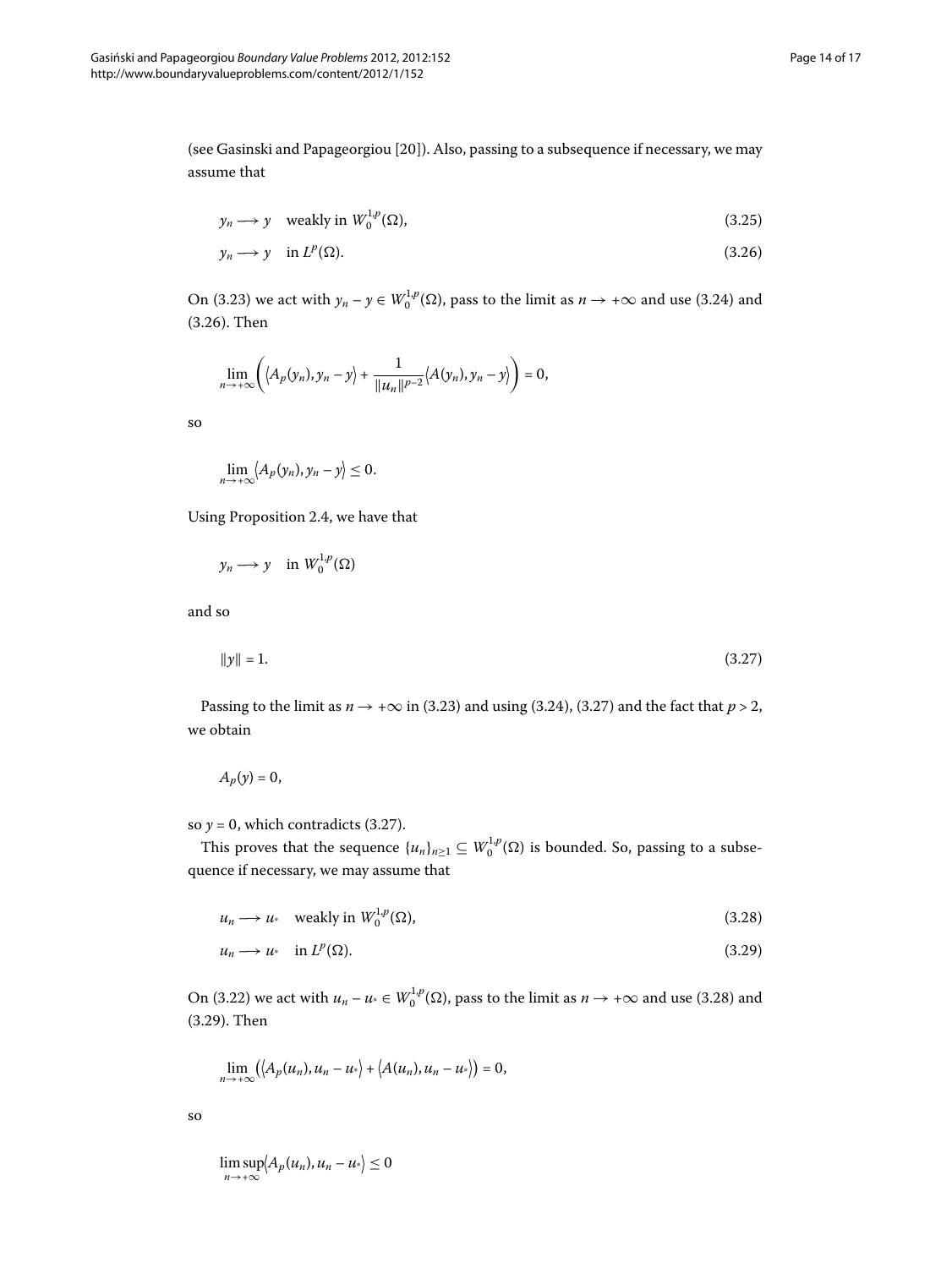<span id="page-13-0"></span>(see Gasinski and Papageorgiou [20]). Also, passing to a subsequence if necessary, we may assume that

$$
y_n \longrightarrow y \quad \text{weakly in } W_0^{1,p}(\Omega), \tag{3.25}
$$

$$
y_n \longrightarrow y \quad \text{in } L^p(\Omega). \tag{3.26}
$$

On (3[.](#page-12-4)23) we act with  $y_n - y \in W_0^{1,p}(\Omega)$ , pass to the limit as  $n \to +\infty$  and use (3.24) and  $(3.26)$  $(3.26)$  $(3.26)$ . Then

$$
\lim_{n\rightarrow +\infty}\left(\left\langle A_p(y_n),y_n-y\right\rangle+\frac{1}{\|u_n\|^{p-2}}\left\langle A(y_n),y_n-y\right\rangle\right)=0,
$$

so

$$
\lim_{n\to+\infty}\langle A_p(y_n),y_n-y\rangle\leq 0.
$$

Using Proposition 2[.](#page-3-3)4, we have that

<span id="page-13-1"></span>
$$
y_n \longrightarrow y \quad \text{in } W_0^{1,p}(\Omega)
$$

and so

$$
\|y\| = 1.\tag{3.27}
$$

Passing to the limit as  $n \rightarrow +\infty$  in (3[.](#page-13-1)23) and using (3.24), (3.27) and the fact that  $p > 2$ , we obtain

$$
A_p(y)=0,
$$

<span id="page-13-3"></span><span id="page-13-2"></span>so  $y = 0$ , which contradicts (3.27).

This proves that the sequence  $\{u_n\}_{n\geq 1} \subseteq W_0^{1,p}(\Omega)$  is bounded. So, passing to a subsequence if necessary, we may assume that

$$
u_n \longrightarrow u \quad \text{weakly in } W_0^{1,p}(\Omega), \tag{3.28}
$$

$$
u_n \longrightarrow u_* \quad \text{in } L^p(\Omega). \tag{3.29}
$$

On (3.22) we act with  $u_n - u \in W_0^{1,p}(\Omega)$ , pass to the limit as  $n \to +\infty$  and use (3.28) and  $(3.29)$  $(3.29)$  $(3.29)$ . Then

$$
\lim_{n\to+\infty}\big(\big\langle A_p(u_n),u_n-u^*\big\rangle+\big\langle A(u_n),u_n-u^*\big\rangle\big)=0,
$$

so

lim sup *n*→+∞  $\langle A_p(u_n), u_n - u^* \rangle \leq 0$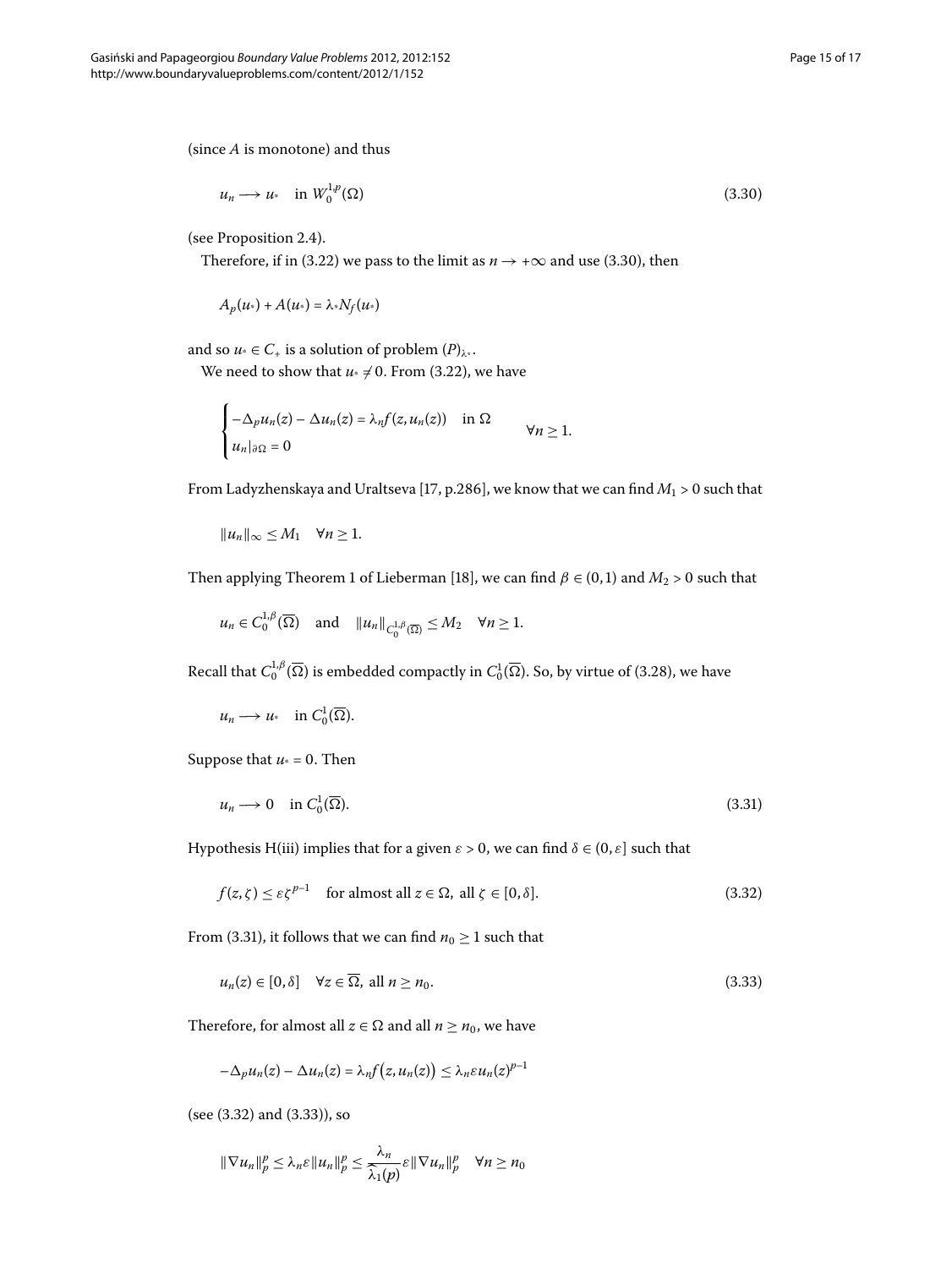<span id="page-14-0"></span>
$$
u_n \longrightarrow u_* \quad \text{in } W_0^{1,p}(\Omega) \tag{3.30}
$$

(see Proposition 2.4).

Therefore, if in (3[.](#page-12-2)22) we pass to the limit as  $n \rightarrow +\infty$  and use (3.30), then

$$
A_p(u_*)+A(u_*)=\lambda_*N_f(u_*)
$$

and so  $u^* \in C_+$  is a solution of problem  $(P)_{\lambda^*}$ .

We need to show that  $u^* \neq 0$ . From (3.22), we have

$$
\begin{cases}\n-\Delta_p u_n(z) - \Delta u_n(z) = \lambda_n f(z, u_n(z)) & \text{in } \Omega \\
u_n|_{\partial \Omega} = 0 & \forall n \ge 1.\n\end{cases}
$$

From Ladyzhenskaya and Uraltseva [\[](#page-16-13)17, p.286], we know that we can find  $M_1 > 0$  such that

$$
||u_n||_{\infty} \leq M_1 \quad \forall n \geq 1.
$$

Then applying Theorem 1 of Lieberman [18[\]](#page-16-14), we can find  $\beta \in (0,1)$  and  $M_2 > 0$  such that

<span id="page-14-1"></span>
$$
u_n \in C_0^{1,\beta}(\overline{\Omega})
$$
 and  $||u_n||_{C_0^{1,\beta}(\overline{\Omega})} \le M_2 \quad \forall n \ge 1.$ 

Recall that  $C_0^{1,\beta}(\overline{\Omega})$  is embedded compactly in  $C_0^1(\overline{\Omega}).$  So, by virtue of (3.28), we have

<span id="page-14-2"></span>
$$
u_n \longrightarrow u_* \quad \text{in } C_0^1(\overline{\Omega}).
$$

Suppose that  $u^* = 0$ . Then

<span id="page-14-3"></span>
$$
u_n \longrightarrow 0 \quad \text{in } C_0^1(\overline{\Omega}). \tag{3.31}
$$

Hypothesis H(iii) implies that for a given  $\varepsilon > 0$ , we can find  $\delta \in (0, \varepsilon]$  such that

$$
f(z,\zeta) \le \varepsilon \zeta^{p-1} \quad \text{for almost all } z \in \Omega, \text{ all } \zeta \in [0,\delta]. \tag{3.32}
$$

From (3.31), it follows that we can find  $n_0 \geq 1$  such that

$$
u_n(z) \in [0, \delta] \quad \forall z \in \overline{\Omega}, \text{ all } n \ge n_0. \tag{3.33}
$$

Therefore, for almost all  $z \in \Omega$  and all  $n \ge n_0$ , we have

$$
-\Delta_p u_n(z) - \Delta u_n(z) = \lambda_n f(z, u_n(z)) \leq \lambda_n \varepsilon u_n(z)^{p-1}
$$

 $(see (3.32) and (3.33)), so$ 

$$
\|\nabla u_n\|_p^p \leq \lambda_n \varepsilon \|u_n\|_p^p \leq \frac{\lambda_n}{\widehat{\lambda}_1(p)} \varepsilon \|\nabla u_n\|_p^p \quad \forall n \geq n_0
$$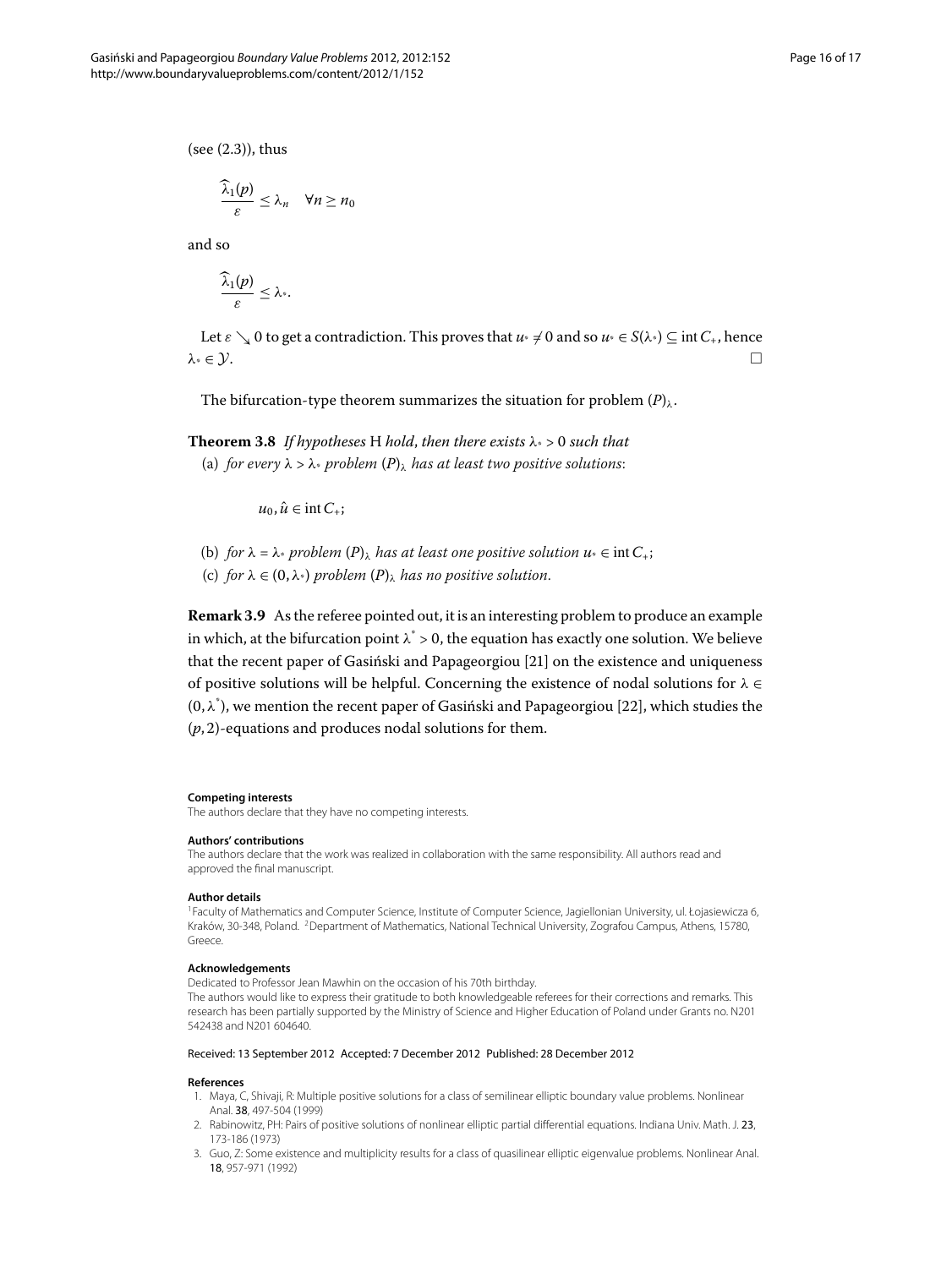$(see (2.3)), thus$ 

$$
\frac{\widehat{\lambda}_1(p)}{\varepsilon} \leq \lambda_n \quad \forall n \geq n_0
$$

and so

$$
\frac{\widehat{\lambda}_1(p)}{\varepsilon}\leq \lambda_*
$$

Let  $\varepsilon \searrow 0$  to get a contradiction. This proves that  $u^* \neq 0$  and so  $u^* \in S(\lambda^*) \subseteq \text{int } C_+$ , hence  $\lambda^* \in \mathcal{Y}$ .

The bifurcation-type theorem summarizes the situation for problem  $(P)_{\lambda}$  $(P)_{\lambda}$  $(P)_{\lambda}$ .

# **Theorem 3.8** If hypotheses H hold, then there exists  $\lambda$  > 0 such that (a) *for every*  $\lambda > \lambda^*$  *problem*  $(P)_{\lambda}$  $(P)_{\lambda}$  $(P)_{\lambda}$  *has at least two positive solutions:*

 $u_0, \hat{u} \in \text{int } C_+;$ 

- (b) *for*  $\lambda = \lambda^*$  *problem*  $(P)_{\lambda}$  $(P)_{\lambda}$  $(P)_{\lambda}$  *has at least one positive solution*  $u^* \in \text{int } C_+$ ;
- (c) *for*  $\lambda \in (0, \lambda^*)$  *problem*  $(P)_{\lambda}$  $(P)_{\lambda}$  $(P)_{\lambda}$  *has no positive solution.*

**Remark 3.9** As the referee pointed out, it is an interesting problem to produce an example in which, at the bifurcation point  $\lambda^* > 0$ , the equation has exactly one solution. We believe that the recent paper of Gasiński and Papageorgiou [\[](#page-16-17)21] on the existence and uniqueness of positive solutions will be helpful. Concerning the existence of nodal solutions for *λ* ∈  $(0, \lambda^*)$ , we mention the recent paper of Gasiński and Papageorgiou [\[](#page-16-18)22], which studies the  $(p, 2)$ -equations and produces nodal solutions for them.

#### <span id="page-15-1"></span><span id="page-15-0"></span>**Competing interests**

The authors declare that they have no competing interests.

#### **Authors' contributions**

The authors declare that the work was realized in collaboration with the same responsibility. All authors read and approved the final manuscript.

#### **Author details**

1Faculty of Mathematics and Computer Science, Institute of Computer Science, Jagiellonian University, ul. Łojasiewicza 6, Kraków, 30-348, Poland. <sup>2</sup>Department of Mathematics, National Technical University, Zografou Campus, Athens, 15780, Greece.

#### <span id="page-15-2"></span>**Acknowledgements**

<span id="page-15-3"></span>Dedicated to Professor Jean Mawhin on the occasion of his 70th birthday.

<span id="page-15-4"></span>The authors would like to express their gratitude to both knowledgeable referees for their corrections and remarks. This research has been partially supported by the Ministry of Science and Higher Education of Poland under Grants no. N201 542438 and N201 604640.

#### Received: 13 September 2012 Accepted: 7 December 2012 Published: 28 December 2012

#### **References**

- 1. Maya, C, Shivaji, R: Multiple positive solutions for a class of semilinear elliptic boundary value problems. Nonlinear Anal. 38, 497-504 (1999)
- 2. Rabinowitz, PH: Pairs of positive solutions of nonlinear elliptic partial differential equations. Indiana Univ. Math. J. 23, 173-186 (1973)
- 3. Guo, Z: Some existence and multiplicity results for a class of quasilinear elliptic eigenvalue problems. Nonlinear Anal. 18, 957-971 (1992)